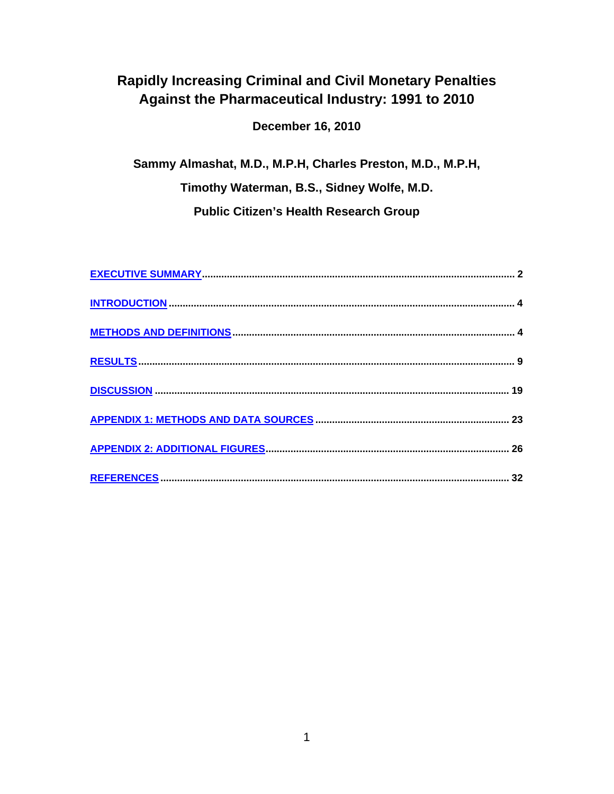# **Rapidly Increasing Criminal and Civil Monetary Penalties** Against the Pharmaceutical Industry: 1991 to 2010

**December 16, 2010** 

Sammy Almashat, M.D., M.P.H, Charles Preston, M.D., M.P.H, Timothy Waterman, B.S., Sidney Wolfe, M.D. **Public Citizen's Health Research Group**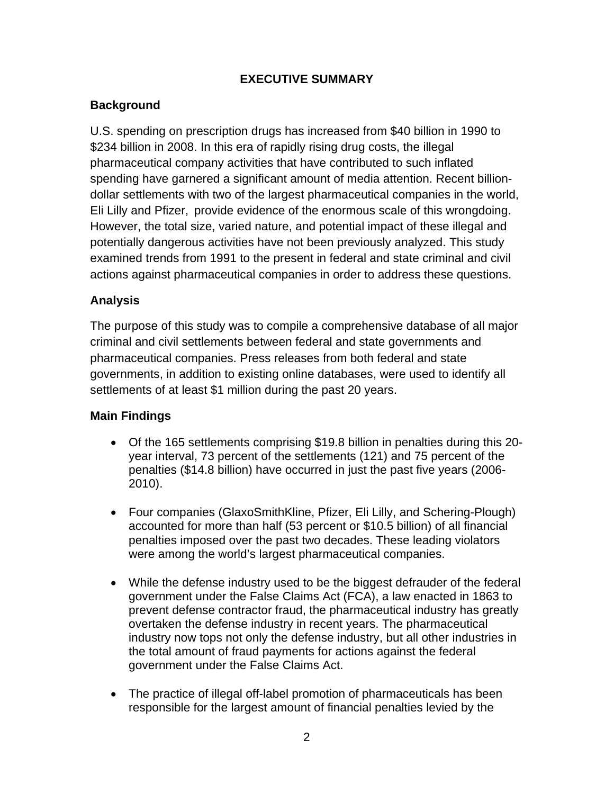## **EXECUTIVE SUMMARY**

## <span id="page-1-0"></span>**Background**

U.S. spending on prescription drugs has increased from \$40 billion in 1990 to \$234 billion in 2008. In this era of rapidly rising drug costs, the illegal pharmaceutical company activities that have contributed to such inflated spending have garnered a significant amount of media attention. Recent billiondollar settlements with two of the largest pharmaceutical companies in the world, Eli Lilly and Pfizer, provide evidence of the enormous scale of this wrongdoing. However, the total size, varied nature, and potential impact of these illegal and potentially dangerous activities have not been previously analyzed. This study examined trends from 1991 to the present in federal and state criminal and civil actions against pharmaceutical companies in order to address these questions.

## **Analysis**

The purpose of this study was to compile a comprehensive database of all major criminal and civil settlements between federal and state governments and pharmaceutical companies. Press releases from both federal and state governments, in addition to existing online databases, were used to identify all settlements of at least \$1 million during the past 20 years.

## **Main Findings**

- Of the 165 settlements comprising \$19.8 billion in penalties during this 20 year interval, 73 percent of the settlements (121) and 75 percent of the penalties (\$14.8 billion) have occurred in just the past five years (2006- 2010).
- Four companies (GlaxoSmithKline, Pfizer, Eli Lilly, and Schering-Plough) accounted for more than half (53 percent or \$10.5 billion) of all financial penalties imposed over the past two decades. These leading violators were among the world's largest pharmaceutical companies.
- While the defense industry used to be the biggest defrauder of the federal government under the False Claims Act (FCA), a law enacted in 1863 to prevent defense contractor fraud, the pharmaceutical industry has greatly overtaken the defense industry in recent years. The pharmaceutical industry now tops not only the defense industry, but all other industries in the total amount of fraud payments for actions against the federal government under the False Claims Act.
- The practice of illegal off-label promotion of pharmaceuticals has been responsible for the largest amount of financial penalties levied by the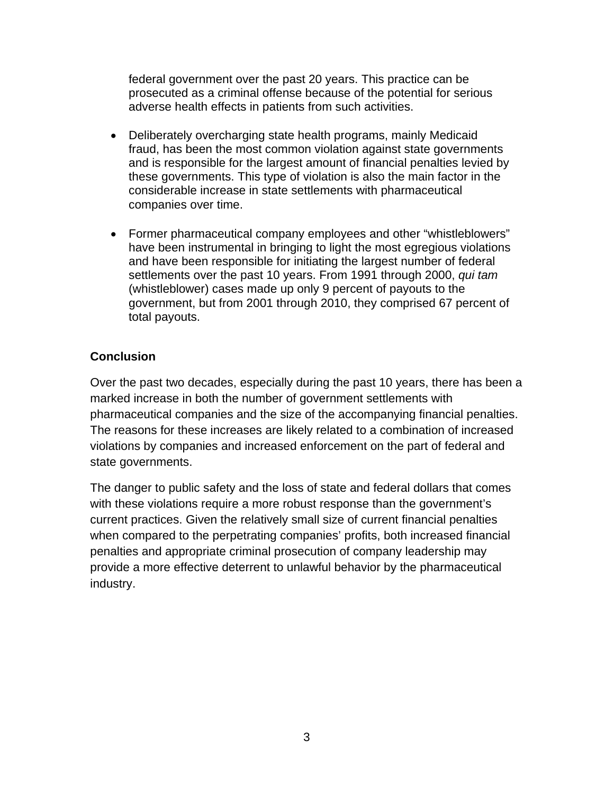federal government over the past 20 years. This practice can be prosecuted as a criminal offense because of the potential for serious adverse health effects in patients from such activities.

- Deliberately overcharging state health programs, mainly Medicaid fraud, has been the most common violation against state governments and is responsible for the largest amount of financial penalties levied by these governments. This type of violation is also the main factor in the considerable increase in state settlements with pharmaceutical companies over time.
- Former pharmaceutical company employees and other "whistleblowers" have been instrumental in bringing to light the most egregious violations and have been responsible for initiating the largest number of federal settlements over the past 10 years. From 1991 through 2000, *qui tam* (whistleblower) cases made up only 9 percent of payouts to the government, but from 2001 through 2010, they comprised 67 percent of total payouts.

### **Conclusion**

Over the past two decades, especially during the past 10 years, there has been a marked increase in both the number of government settlements with pharmaceutical companies and the size of the accompanying financial penalties. The reasons for these increases are likely related to a combination of increased violations by companies and increased enforcement on the part of federal and state governments.

The danger to public safety and the loss of state and federal dollars that comes with these violations require a more robust response than the government's current practices. Given the relatively small size of current financial penalties when compared to the perpetrating companies' profits, both increased financial penalties and appropriate criminal prosecution of company leadership may provide a more effective deterrent to unlawful behavior by the pharmaceutical industry.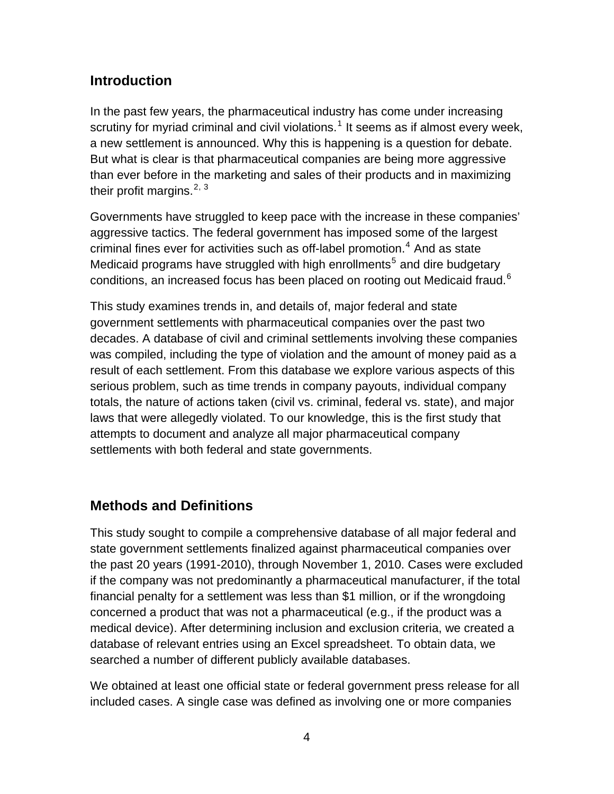## <span id="page-3-0"></span>**Introduction**

In the past few years, the pharmaceutical industry has come under increasing scrutiny for myriad criminal and civil violations.<sup>[1](#page-31-1)</sup> It seems as if almost every week, a new settlement is announced. Why this is happening is a question for debate. But what is clear is that pharmaceutical companies are being more aggressive than ever before in the marketing and sales of their products and in maximizing their profit margins. $2, 3$  $2, 3$  $2, 3$ 

Governments have struggled to keep pace with the increase in these companies' aggressive tactics. The federal government has imposed some of the largest criminal fines ever for activities such as off-label promotion. $<sup>4</sup>$  $<sup>4</sup>$  $<sup>4</sup>$  And as state</sup> Medicaid programs have struggled with high enrollments<sup>[5](#page-32-0)</sup> and dire budgetary conditions, an increased focus has been placed on rooting out Medicaid fraud.<sup>[6](#page-32-0)</sup>

This study examines trends in, and details of, major federal and state government settlements with pharmaceutical companies over the past two decades. A database of civil and criminal settlements involving these companies was compiled, including the type of violation and the amount of money paid as a result of each settlement. From this database we explore various aspects of this serious problem, such as time trends in company payouts, individual company totals, the nature of actions taken (civil vs. criminal, federal vs. state), and major laws that were allegedly violated. To our knowledge, this is the first study that attempts to document and analyze all major pharmaceutical company settlements with both federal and state governments.

# **Methods and Definitions**

This study sought to compile a comprehensive database of all major federal and state government settlements finalized against pharmaceutical companies over the past 20 years (1991-2010), through November 1, 2010. Cases were excluded if the company was not predominantly a pharmaceutical manufacturer, if the total financial penalty for a settlement was less than \$1 million, or if the wrongdoing concerned a product that was not a pharmaceutical (e.g., if the product was a medical device). After determining inclusion and exclusion criteria, we created a database of relevant entries using an Excel spreadsheet. To obtain data, we searched a number of different publicly available databases.

We obtained at least one official state or federal government press release for all included cases. A single case was defined as involving one or more companies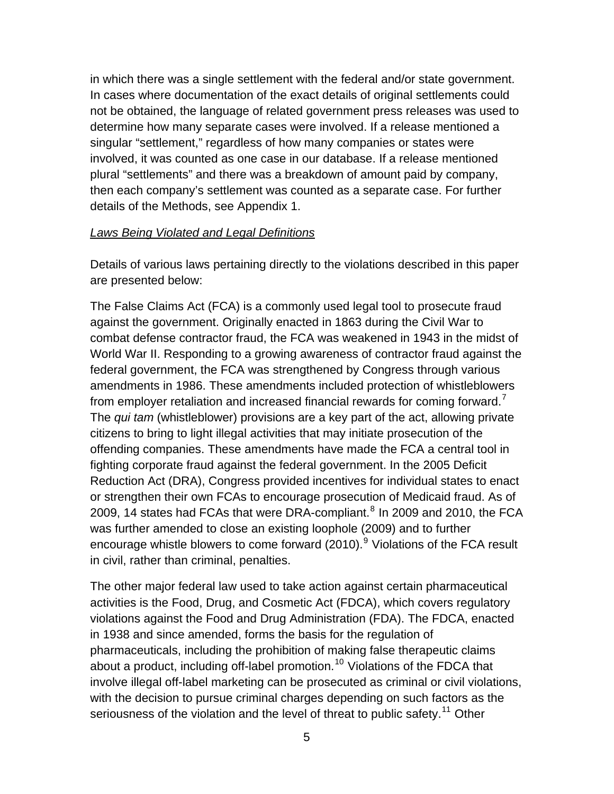in which there was a single settlement with the federal and/or state government. In cases where documentation of the exact details of original settlements could not be obtained, the language of related government press releases was used to determine how many separate cases were involved. If a release mentioned a singular "settlement," regardless of how many companies or states were involved, it was counted as one case in our database. If a release mentioned plural "settlements" and there was a breakdown of amount paid by company, then each company's settlement was counted as a separate case. For further details of the Methods, see Appendix 1.

#### *Laws Being Violated and Legal Definitions*

Details of various laws pertaining directly to the violations described in this paper are presented below:

The False Claims Act (FCA) is a commonly used legal tool to prosecute fraud against the government. Originally enacted in 1863 during the Civil War to combat defense contractor fraud, the FCA was weakened in 1943 in the midst of World War II. Responding to a growing awareness of contractor fraud against the federal government, the FCA was strengthened by Congress through various amendments in 1986. These amendments included protection of whistleblowers from employer retaliation and increased financial rewards for coming forward. $\prime$ The *qui tam* (whistleblower) provisions are a key part of the act, allowing private citizens to bring to light illegal activities that may initiate prosecution of the offending companies. These amendments have made the FCA a central tool in fighting corporate fraud against the federal government. In the 2005 Deficit Reduction Act (DRA), Congress provided incentives for individual states to enact or strengthen their own FCAs to encourage prosecution of Medicaid fraud. As of 2009, 14 states had FCAs that were DRA-compliant.<sup>[8](#page-32-0)</sup> In 2009 and 2010, the FCA was further amended to close an existing loophole (2009) and to further encourage whistle blowers to come forward (2010).<sup>[9](#page-32-0)</sup> Violations of the FCA result in civil, rather than criminal, penalties.

The other major federal law used to take action against certain pharmaceutical activities is the Food, Drug, and Cosmetic Act (FDCA), which covers regulatory violations against the Food and Drug Administration (FDA). The FDCA, enacted in 1938 and since amended, forms the basis for the regulation of pharmaceuticals, including the prohibition of making false therapeutic claims about a product, including off-label promotion.<sup>[10](#page-32-0)</sup> Violations of the FDCA that involve illegal off-label marketing can be prosecuted as criminal or civil violations, with the decision to pursue criminal charges depending on such factors as the seriousness of the violation and the level of threat to public safety.<sup>[11](#page-32-0)</sup> Other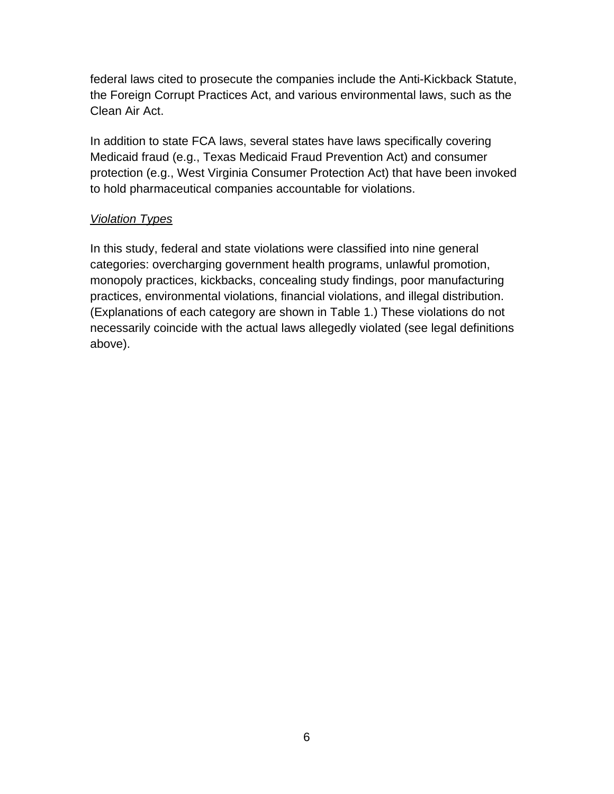federal laws cited to prosecute the companies include the Anti-Kickback Statute, the Foreign Corrupt Practices Act, and various environmental laws, such as the Clean Air Act.

In addition to state FCA laws, several states have laws specifically covering Medicaid fraud (e.g., Texas Medicaid Fraud Prevention Act) and consumer protection (e.g., West Virginia Consumer Protection Act) that have been invoked to hold pharmaceutical companies accountable for violations.

## *Violation Types*

In this study, federal and state violations were classified into nine general categories: overcharging government health programs, unlawful promotion, monopoly practices, kickbacks, concealing study findings, poor manufacturing practices, environmental violations, financial violations, and illegal distribution. (Explanations of each category are shown in Table 1.) These violations do not necessarily coincide with the actual laws allegedly violated (see legal definitions above).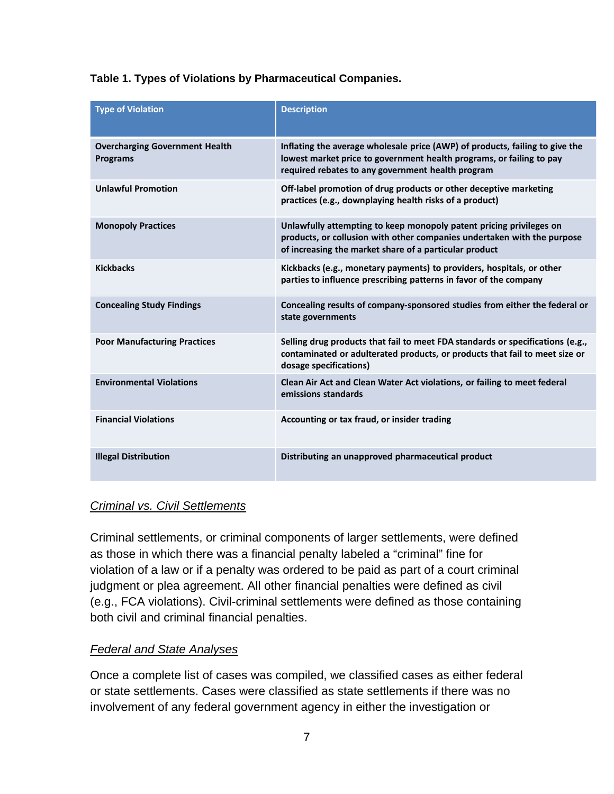### **Table 1. Types of Violations by Pharmaceutical Companies.**

| <b>Type of Violation</b>                                 | <b>Description</b>                                                                                                                                                                                        |
|----------------------------------------------------------|-----------------------------------------------------------------------------------------------------------------------------------------------------------------------------------------------------------|
| <b>Overcharging Government Health</b><br><b>Programs</b> | Inflating the average wholesale price (AWP) of products, failing to give the<br>lowest market price to government health programs, or failing to pay<br>required rebates to any government health program |
| <b>Unlawful Promotion</b>                                | Off-label promotion of drug products or other deceptive marketing<br>practices (e.g., downplaying health risks of a product)                                                                              |
| <b>Monopoly Practices</b>                                | Unlawfully attempting to keep monopoly patent pricing privileges on<br>products, or collusion with other companies undertaken with the purpose<br>of increasing the market share of a particular product  |
| <b>Kickbacks</b>                                         | Kickbacks (e.g., monetary payments) to providers, hospitals, or other<br>parties to influence prescribing patterns in favor of the company                                                                |
| <b>Concealing Study Findings</b>                         | Concealing results of company-sponsored studies from either the federal or<br>state governments                                                                                                           |
| <b>Poor Manufacturing Practices</b>                      | Selling drug products that fail to meet FDA standards or specifications (e.g.,<br>contaminated or adulterated products, or products that fail to meet size or<br>dosage specifications)                   |
| <b>Environmental Violations</b>                          | Clean Air Act and Clean Water Act violations, or failing to meet federal<br>emissions standards                                                                                                           |
| <b>Financial Violations</b>                              | Accounting or tax fraud, or insider trading                                                                                                                                                               |
| <b>Illegal Distribution</b>                              | Distributing an unapproved pharmaceutical product                                                                                                                                                         |

#### *Criminal vs. Civil Settlements*

Criminal settlements, or criminal components of larger settlements, were defined as those in which there was a financial penalty labeled a "criminal" fine for violation of a law or if a penalty was ordered to be paid as part of a court criminal judgment or plea agreement. All other financial penalties were defined as civil (e.g., FCA violations). Civil-criminal settlements were defined as those containing both civil and criminal financial penalties.

#### *Federal and State Analyses*

Once a complete list of cases was compiled, we classified cases as either federal or state settlements. Cases were classified as state settlements if there was no involvement of any federal government agency in either the investigation or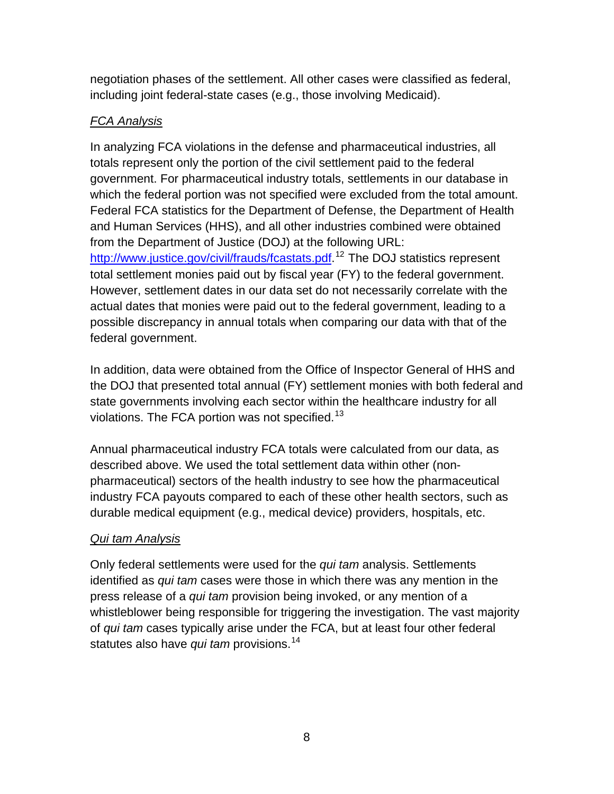negotiation phases of the settlement. All other cases were classified as federal, including joint federal-state cases (e.g., those involving Medicaid).

## *FCA Analysis*

In analyzing FCA violations in the defense and pharmaceutical industries, all totals represent only the portion of the civil settlement paid to the federal government. For pharmaceutical industry totals, settlements in our database in which the federal portion was not specified were excluded from the total amount. Federal FCA statistics for the Department of Defense, the Department of Health and Human Services (HHS), and all other industries combined were obtained from the Department of Justice (DOJ) at the following URL: [http://www.justice.gov/civil/frauds/fcastats.pdf.](http://www.justice.gov/civil/frauds/fcastats.pdf)<sup>[12](#page-32-0)</sup> The DOJ statistics represent total settlement monies paid out by fiscal year (FY) to the federal government. However, settlement dates in our data set do not necessarily correlate with the actual dates that monies were paid out to the federal government, leading to a possible discrepancy in annual totals when comparing our data with that of the

federal government.

In addition, data were obtained from the Office of Inspector General of HHS and the DOJ that presented total annual (FY) settlement monies with both federal and state governments involving each sector within the healthcare industry for all violations. The FCA portion was not specified.<sup>[13](#page-32-0)</sup>

Annual pharmaceutical industry FCA totals were calculated from our data, as described above. We used the total settlement data within other (nonpharmaceutical) sectors of the health industry to see how the pharmaceutical industry FCA payouts compared to each of these other health sectors, such as durable medical equipment (e.g., medical device) providers, hospitals, etc.

## *Qui tam Analysis*

Only federal settlements were used for the *qui tam* analysis. Settlements identified as *qui tam* cases were those in which there was any mention in the press release of a *qui tam* provision being invoked, or any mention of a whistleblower being responsible for triggering the investigation. The vast majority of *qui tam* cases typically arise under the FCA, but at least four other federal statutes also have *qui tam* provisions.<sup>[14](#page-32-0)</sup>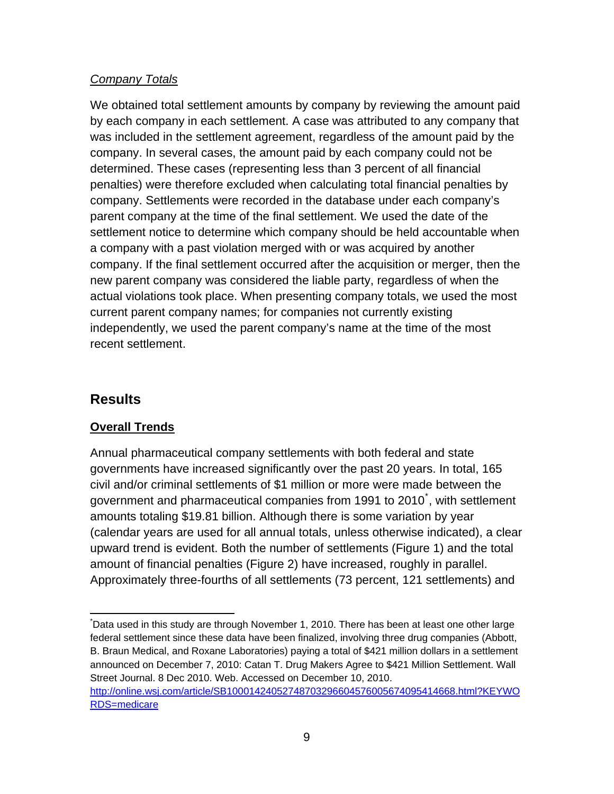## <span id="page-8-0"></span>*Company Totals*

We obtained total settlement amounts by company by reviewing the amount paid by each company in each settlement. A case was attributed to any company that was included in the settlement agreement, regardless of the amount paid by the company. In several cases, the amount paid by each company could not be determined. These cases (representing less than 3 percent of all financial penalties) were therefore excluded when calculating total financial penalties by company. Settlements were recorded in the database under each company's parent company at the time of the final settlement. We used the date of the settlement notice to determine which company should be held accountable when a company with a past violation merged with or was acquired by another company. If the final settlement occurred after the acquisition or merger, then the new parent company was considered the liable party, regardless of when the actual violations took place. When presenting company totals, we used the most current parent company names; for companies not currently existing independently, we used the parent company's name at the time of the most recent settlement.

## **Results**

 $\overline{a}$ 

## **Overall Trends**

Annual pharmaceutical company settlements with both federal and state governments have increased significantly over the past 20 years. In total, 165 civil and/or criminal settlements of \$1 million or more were made between the government and pharmaceutical companies from 1991 to 2010[\\*](#page-8-1) , with settlement amounts totaling \$19.81 billion. Although there is some variation by year (calendar years are used for all annual totals, unless otherwise indicated), a clear upward trend is evident. Both the number of settlements (Figure 1) and the total amount of financial penalties (Figure 2) have increased, roughly in parallel. Approximately three-fourths of all settlements (73 percent, 121 settlements) and

<span id="page-8-1"></span><sup>\*</sup> Data used in this study are through November 1, 2010. There has been at least one other large federal settlement since these data have been finalized, involving three drug companies (Abbott, B. Braun Medical, and Roxane Laboratories) paying a total of \$421 million dollars in a settlement announced on December 7, 2010: Catan T. Drug Makers Agree to \$421 Million Settlement. Wall Street Journal. 8 Dec 2010. Web. Accessed on December 10, 2010. [http://online.wsj.com/article/SB10001424052748703296604576005674095414668.html?KEYWO](http://online.wsj.com/article/SB10001424052748703296604576005674095414668.html?KEYWORDS=medicare) [RDS=medicare](http://online.wsj.com/article/SB10001424052748703296604576005674095414668.html?KEYWORDS=medicare)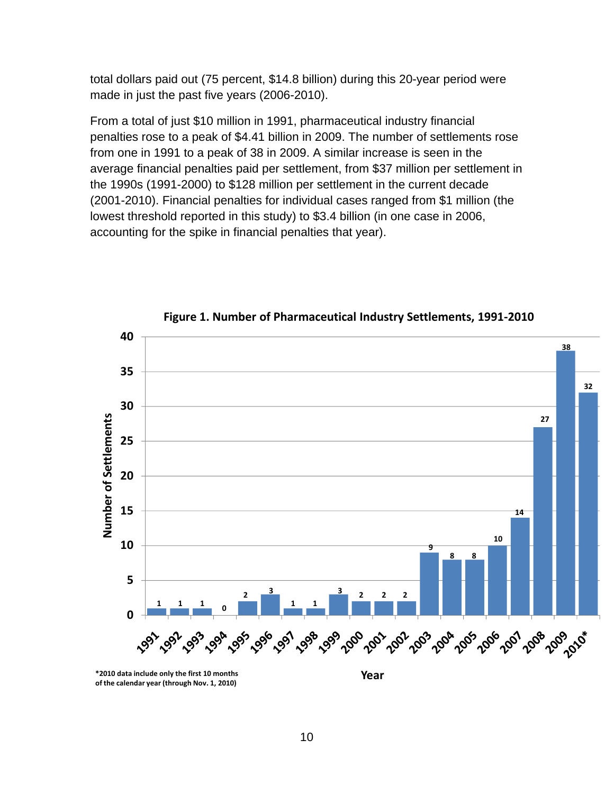total dollars paid out (75 percent, \$14.8 billion) during this 20-year period were made in just the past five years (2006-2010).

From a total of just \$10 million in 1991, pharmaceutical industry financial penalties rose to a peak of \$4.41 billion in 2009. The number of settlements rose from one in 1991 to a peak of 38 in 2009. A similar increase is seen in the average financial penalties paid per settlement, from \$37 million per settlement in the 1990s (1991-2000) to \$128 million per settlement in the current decade (2001-2010). Financial penalties for individual cases ranged from \$1 million (the lowest threshold reported in this study) to \$3.4 billion (in one case in 2006, accounting for the spike in financial penalties that year).



**Figure 1. Number of Pharmaceutical Industry Settlements, 1991‐2010**

**\*2010 data include only the first 10 months of the calendar year (through Nov. 1, 2010)**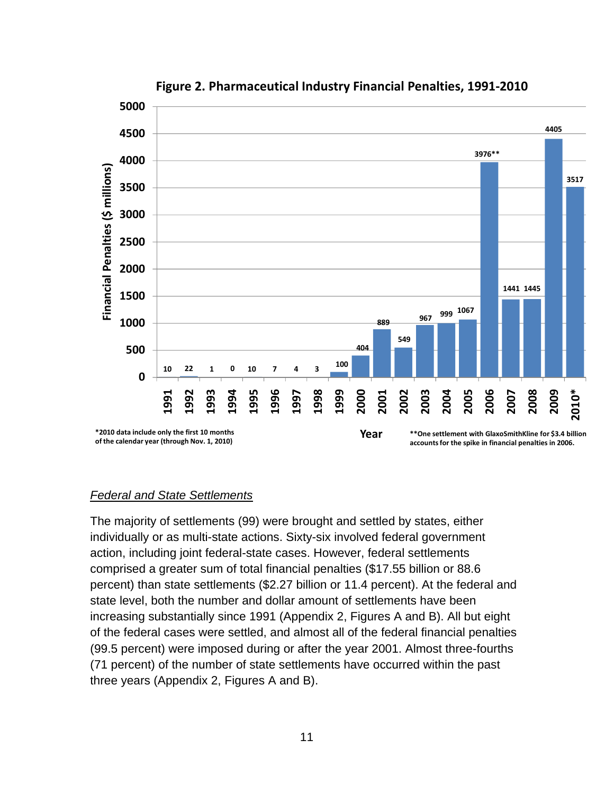

### **Figure 2. Pharmaceutical Industry Financial Penalties, 1991‐2010**

#### *Federal and State Settlements*

The majority of settlements (99) were brought and settled by states, either individually or as multi-state actions. Sixty-six involved federal government action, including joint federal-state cases. However, federal settlements comprised a greater sum of total financial penalties (\$17.55 billion or 88.6 percent) than state settlements (\$2.27 billion or 11.4 percent). At the federal and state level, both the number and dollar amount of settlements have been increasing substantially since 1991 (Appendix 2, Figures A and B). All but eight of the federal cases were settled, and almost all of the federal financial penalties (99.5 percent) were imposed during or after the year 2001. Almost three-fourths (71 percent) of the number of state settlements have occurred within the past three years (Appendix 2, Figures A and B).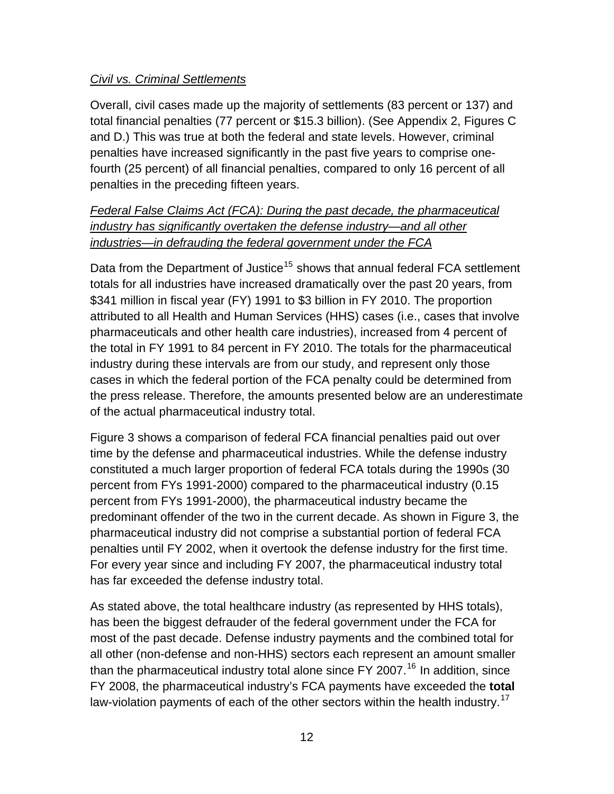## *Civil vs. Criminal Settlements*

Overall, civil cases made up the majority of settlements (83 percent or 137) and total financial penalties (77 percent or \$15.3 billion). (See Appendix 2, Figures C and D.) This was true at both the federal and state levels. However, criminal penalties have increased significantly in the past five years to comprise onefourth (25 percent) of all financial penalties, compared to only 16 percent of all penalties in the preceding fifteen years.

## *Federal False Claims Act (FCA): During the past decade, the pharmaceutical industry has significantly overtaken the defense industry—and all other industries—in defrauding the federal government under the FCA*

Data from the Department of Justice<sup>[15](#page-32-0)</sup> shows that annual federal FCA settlement totals for all industries have increased dramatically over the past 20 years, from \$341 million in fiscal year (FY) 1991 to \$3 billion in FY 2010. The proportion attributed to all Health and Human Services (HHS) cases (i.e., cases that involve pharmaceuticals and other health care industries), increased from 4 percent of the total in FY 1991 to 84 percent in FY 2010. The totals for the pharmaceutical industry during these intervals are from our study, and represent only those cases in which the federal portion of the FCA penalty could be determined from the press release. Therefore, the amounts presented below are an underestimate of the actual pharmaceutical industry total.

Figure 3 shows a comparison of federal FCA financial penalties paid out over time by the defense and pharmaceutical industries. While the defense industry constituted a much larger proportion of federal FCA totals during the 1990s (30 percent from FYs 1991-2000) compared to the pharmaceutical industry (0.15 percent from FYs 1991-2000), the pharmaceutical industry became the predominant offender of the two in the current decade. As shown in Figure 3, the pharmaceutical industry did not comprise a substantial portion of federal FCA penalties until FY 2002, when it overtook the defense industry for the first time. For every year since and including FY 2007, the pharmaceutical industry total has far exceeded the defense industry total.

As stated above, the total healthcare industry (as represented by HHS totals), has been the biggest defrauder of the federal government under the FCA for most of the past decade. Defense industry payments and the combined total for all other (non-defense and non-HHS) sectors each represent an amount smaller than the pharmaceutical industry total alone since  $FY$  2007.<sup>[16](#page-32-0)</sup> In addition, since FY 2008, the pharmaceutical industry's FCA payments have exceeded the **total**  law-violation payments of each of the other sectors within the health industry.<sup>[17](#page-33-0)</sup>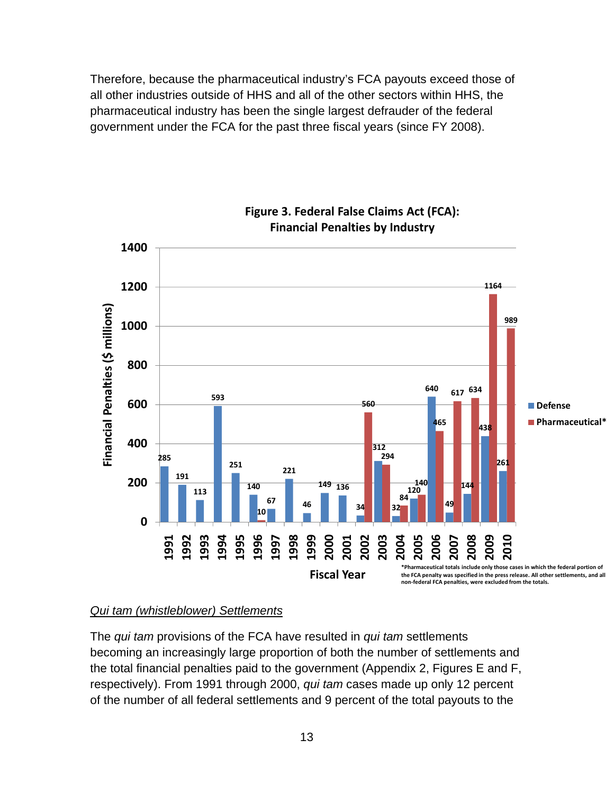Therefore, because the pharmaceutical industry's FCA payouts exceed those of all other industries outside of HHS and all of the other sectors within HHS, the pharmaceutical industry has been the single largest defrauder of the federal government under the FCA for the past three fiscal years (since FY 2008).



**Figure 3. Federal False Claims Act (FCA): Financial Penalties by Industry**

#### *Qui tam (whistleblower) Settlements*

The *qui tam* provisions of the FCA have resulted in *qui tam* settlements becoming an increasingly large proportion of both the number of settlements and the total financial penalties paid to the government (Appendix 2, Figures E and F, respectively). From 1991 through 2000, *qui tam* cases made up only 12 percent of the number of all federal settlements and 9 percent of the total payouts to the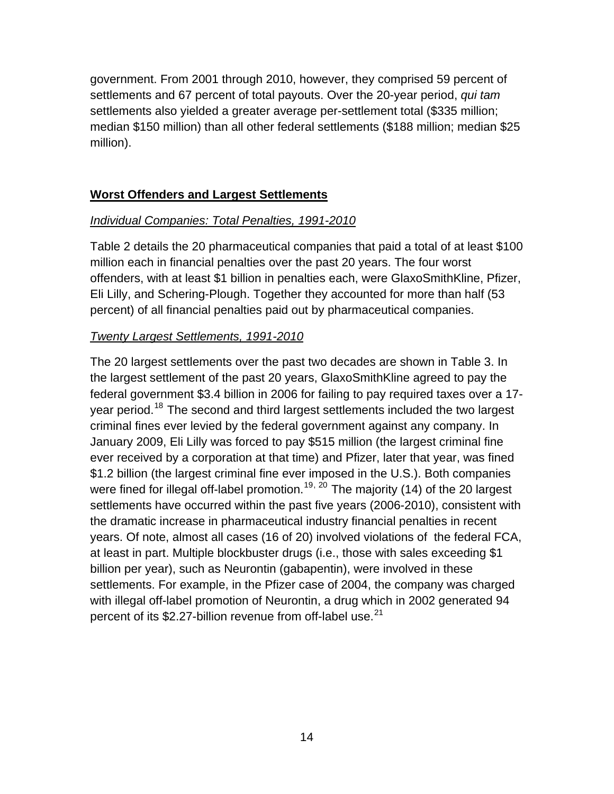government. From 2001 through 2010, however, they comprised 59 percent of settlements and 67 percent of total payouts. Over the 20-year period, *qui tam* settlements also yielded a greater average per-settlement total (\$335 million; median \$150 million) than all other federal settlements (\$188 million; median \$25 million).

## **Worst Offenders and Largest Settlements**

#### *Individual Companies: Total Penalties, 1991-2010*

Table 2 details the 20 pharmaceutical companies that paid a total of at least \$100 million each in financial penalties over the past 20 years. The four worst offenders, with at least \$1 billion in penalties each, were GlaxoSmithKline, Pfizer, Eli Lilly, and Schering-Plough. Together they accounted for more than half (53 percent) of all financial penalties paid out by pharmaceutical companies.

### *Twenty Largest Settlements, 1991-2010*

The 20 largest settlements over the past two decades are shown in Table 3. In the largest settlement of the past 20 years, GlaxoSmithKline agreed to pay the federal government \$3.4 billion in 2006 for failing to pay required taxes over a 17- year period.<sup>[18](#page-33-0)</sup> The second and third largest settlements included the two largest criminal fines ever levied by the federal government against any company. In January 2009, Eli Lilly was forced to pay \$515 million (the largest criminal fine ever received by a corporation at that time) and Pfizer, later that year, was fined \$1.2 billion (the largest criminal fine ever imposed in the U.S.). Both companies were fined for illegal off-label promotion.<sup>[19](#page-33-0), [20](#page-33-0)</sup> The majority (14) of the 20 largest settlements have occurred within the past five years (2006-2010), consistent with the dramatic increase in pharmaceutical industry financial penalties in recent years. Of note, almost all cases (16 of 20) involved violations of the federal FCA, at least in part. Multiple blockbuster drugs (i.e., those with sales exceeding \$1 billion per year), such as Neurontin (gabapentin), were involved in these settlements. For example, in the Pfizer case of 2004, the company was charged with illegal off-label promotion of Neurontin, a drug which in 2002 generated 94 percent of its \$2.27-billion revenue from off-label use.<sup>[21](#page-33-0)</sup>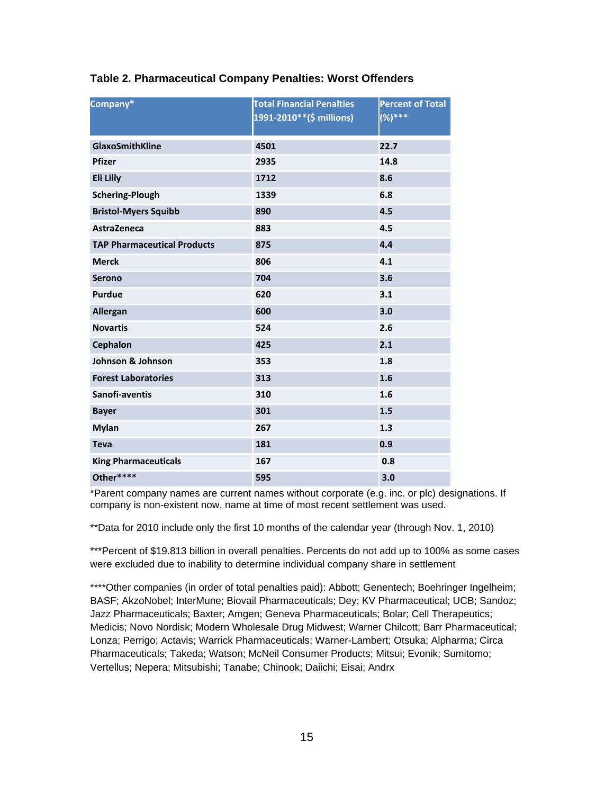| Company*                           | <b>Total Financial Penalties</b><br>1991-2010**(\$ millions) | <b>Percent of Total</b><br>$(%)***$ |
|------------------------------------|--------------------------------------------------------------|-------------------------------------|
| GlaxoSmithKline                    | 4501                                                         | 22.7                                |
| <b>Pfizer</b>                      | 2935                                                         | 14.8                                |
| Eli Lilly                          | 1712                                                         | 8.6                                 |
| <b>Schering-Plough</b>             | 1339                                                         | 6.8                                 |
| <b>Bristol-Myers Squibb</b>        | 890                                                          | 4.5                                 |
| <b>AstraZeneca</b>                 | 883                                                          | 4.5                                 |
| <b>TAP Pharmaceutical Products</b> | 875                                                          | 4.4                                 |
| <b>Merck</b>                       | 806                                                          | 4.1                                 |
| <b>Serono</b>                      | 704                                                          | 3.6                                 |
| <b>Purdue</b>                      | 620                                                          | 3.1                                 |
| Allergan                           | 600                                                          | 3.0                                 |
| <b>Novartis</b>                    | 524                                                          | 2.6                                 |
| <b>Cephalon</b>                    | 425                                                          | 2.1                                 |
| Johnson & Johnson                  | 353                                                          | 1.8                                 |
| <b>Forest Laboratories</b>         | 313                                                          | 1.6                                 |
| Sanofi-aventis                     | 310                                                          | 1.6                                 |
| <b>Bayer</b>                       | 301                                                          | 1.5                                 |
| <b>Mylan</b>                       | 267                                                          | 1.3                                 |
| <b>Teva</b>                        | 181                                                          | 0.9                                 |
| <b>King Pharmaceuticals</b>        | 167                                                          | 0.8                                 |
| Other****                          | 595                                                          | 3.0                                 |

#### **Table 2. Pharmaceutical Company Penalties: Worst Offenders**

\*Parent company names are current names without corporate (e.g. inc. or plc) designations. If company is non-existent now, name at time of most recent settlement was used.

\*\*Data for 2010 include only the first 10 months of the calendar year (through Nov. 1, 2010)

\*\*\*Percent of \$19.813 billion in overall penalties. Percents do not add up to 100% as some cases were excluded due to inability to determine individual company share in settlement

\*\*\*\*Other companies (in order of total penalties paid): Abbott; Genentech; Boehringer Ingelheim; BASF; AkzoNobel; InterMune; Biovail Pharmaceuticals; Dey; KV Pharmaceutical; UCB; Sandoz; Jazz Pharmaceuticals; Baxter; Amgen; Geneva Pharmaceuticals; Bolar; Cell Therapeutics; Medicis; Novo Nordisk; Modern Wholesale Drug Midwest; Warner Chilcott; Barr Pharmaceutical; Lonza; Perrigo; Actavis; Warrick Pharmaceuticals; Warner-Lambert; Otsuka; Alpharma; Circa Pharmaceuticals; Takeda; Watson; McNeil Consumer Products; Mitsui; Evonik; Sumitomo; Vertellus; Nepera; Mitsubishi; Tanabe; Chinook; Daiichi; Eisai; Andrx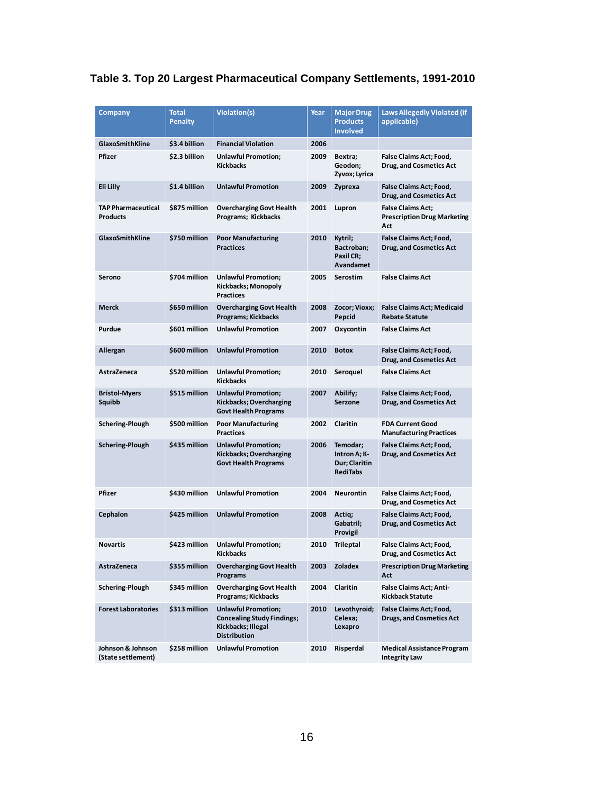| Table 3. Top 20 Largest Pharmaceutical Company Settlements, 1991-2010 |  |  |
|-----------------------------------------------------------------------|--|--|
|-----------------------------------------------------------------------|--|--|

| <b>Company</b>                          | <b>Total</b><br><b>Penalty</b> | Violation(s)                                                                                                 | Year | <b>Major Drug</b><br><b>Products</b><br><b>Involved</b>      | <b>Laws Allegedly Violated (if</b><br>applicable)                     |
|-----------------------------------------|--------------------------------|--------------------------------------------------------------------------------------------------------------|------|--------------------------------------------------------------|-----------------------------------------------------------------------|
| <b>GlaxoSmithKline</b>                  | \$3.4 billion                  | <b>Financial Violation</b>                                                                                   | 2006 |                                                              |                                                                       |
| Pfizer                                  | \$2.3 billion                  | <b>Unlawful Promotion;</b><br><b>Kickbacks</b>                                                               | 2009 | Bextra;<br>Geodon;<br>Zyvox; Lyrica                          | False Claims Act; Food,<br>Drug, and Cosmetics Act                    |
| Eli Lilly                               | \$1.4 billion                  | <b>Unlawful Promotion</b>                                                                                    | 2009 | Zyprexa                                                      | <b>False Claims Act; Food,</b><br><b>Drug, and Cosmetics Act</b>      |
| <b>TAP Pharmaceutical</b><br>Products   | \$875 million                  | <b>Overcharging Govt Health</b><br>Programs; Kickbacks                                                       | 2001 | Lupron                                                       | <b>False Claims Act;</b><br><b>Prescription Drug Marketing</b><br>Act |
| <b>GlaxoSmithKline</b>                  | \$750 million                  | <b>Poor Manufacturing</b><br><b>Practices</b>                                                                | 2010 | Kytril;<br>Bactroban;<br>Paxil CR;<br>Avandamet              | <b>False Claims Act; Food,</b><br><b>Drug, and Cosmetics Act</b>      |
| Serono                                  | \$704 million                  | <b>Unlawful Promotion;</b><br>Kickbacks; Monopoly<br><b>Practices</b>                                        | 2005 | Serostim                                                     | <b>False Claims Act</b>                                               |
| Merck                                   | \$650 million                  | <b>Overcharging Govt Health</b><br>Programs; Kickbacks                                                       | 2008 | Zocor; Vioxx;<br>Pepcid                                      | <b>False Claims Act; Medicaid</b><br><b>Rebate Statute</b>            |
| Purdue                                  | \$601 million                  | <b>Unlawful Promotion</b>                                                                                    | 2007 | Oxycontin                                                    | <b>False Claims Act</b>                                               |
| Allergan                                | \$600 million                  | <b>Unlawful Promotion</b>                                                                                    | 2010 | <b>Botox</b>                                                 | False Claims Act; Food,<br><b>Drug, and Cosmetics Act</b>             |
| AstraZeneca                             | \$520 million                  | <b>Unlawful Promotion;</b><br><b>Kickbacks</b>                                                               | 2010 | Seroquel                                                     | <b>False Claims Act</b>                                               |
| <b>Bristol-Myers</b><br>Squibb          | \$515 million                  | <b>Unlawful Promotion;</b><br>Kickbacks; Overcharging<br><b>Govt Health Programs</b>                         | 2007 | Abilify;<br>Serzone                                          | <b>False Claims Act; Food,</b><br><b>Drug, and Cosmetics Act</b>      |
| Schering-Plough                         | \$500 million                  | <b>Poor Manufacturing</b><br><b>Practices</b>                                                                | 2002 | Claritin                                                     | <b>FDA Current Good</b><br><b>Manufacturing Practices</b>             |
| Schering-Plough                         | \$435 million                  | <b>Unlawful Promotion;</b><br>Kickbacks; Overcharging<br><b>Govt Health Programs</b>                         | 2006 | Temodar;<br>Intron A; K-<br>Dur; Claritin<br><b>RediTabs</b> | False Claims Act; Food,<br><b>Drug, and Cosmetics Act</b>             |
| Pfizer                                  | \$430 million                  | <b>Unlawful Promotion</b>                                                                                    | 2004 | Neurontin                                                    | <b>False Claims Act; Food,</b><br>Drug, and Cosmetics Act             |
| Cephalon                                | \$425 million                  | <b>Unlawful Promotion</b>                                                                                    | 2008 | Actig;<br>Gabatril;<br>Provigil                              | False Claims Act; Food,<br><b>Drug, and Cosmetics Act</b>             |
| Novartis                                | \$423 million                  | <b>Unlawful Promotion;</b><br>Kickbacks                                                                      | 2010 | Trileptal                                                    | <b>False Claims Act; Food,</b><br><b>Drug, and Cosmetics Act</b>      |
| AstraZeneca                             | \$355 million                  | <b>Overcharging Govt Health</b><br>Programs                                                                  | 2003 | Zoladex                                                      | <b>Prescription Drug Marketing</b><br>Act                             |
| Schering-Plough                         | \$345 million                  | <b>Overcharging Govt Health</b><br>Programs; Kickbacks                                                       | 2004 | Claritin                                                     | <b>False Claims Act; Anti-</b><br>Kickback Statute                    |
| <b>Forest Laboratories</b>              | \$313 million                  | <b>Unlawful Promotion;</b><br><b>Concealing Study Findings;</b><br>Kickbacks; Illegal<br><b>Distribution</b> | 2010 | Levothyroid;<br>Celexa;<br>Lexapro                           | <b>False Claims Act; Food,</b><br><b>Drugs, and Cosmetics Act</b>     |
| Johnson & Johnson<br>(State settlement) | \$258 million                  | <b>Unlawful Promotion</b>                                                                                    | 2010 | Risperdal                                                    | <b>Medical Assistance Program</b><br><b>Integrity Law</b>             |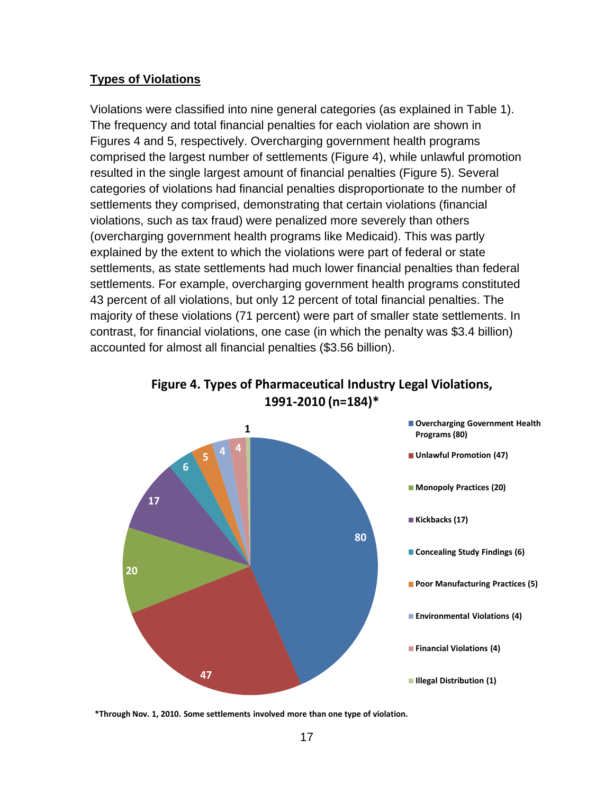### **Types of Violations**

Violations were classified into nine general categories (as explained in Table 1). The frequency and total financial penalties for each violation are shown in Figures 4 and 5, respectively. Overcharging government health programs comprised the largest number of settlements (Figure 4), while unlawful promotion resulted in the single largest amount of financial penalties (Figure 5). Several categories of violations had financial penalties disproportionate to the number of settlements they comprised, demonstrating that certain violations (financial violations, such as tax fraud) were penalized more severely than others (overcharging government health programs like Medicaid). This was partly explained by the extent to which the violations were part of federal or state settlements, as state settlements had much lower financial penalties than federal settlements. For example, overcharging government health programs constituted 43 percent of all violations, but only 12 percent of total financial penalties. The majority of these violations (71 percent) were part of smaller state settlements. In contrast, for financial violations, one case (in which the penalty was \$3.4 billion) accounted for almost all financial penalties (\$3.56 billion).





**<sup>\*</sup>Through Nov. 1, 2010. Some settlements involved more than one type of violation.**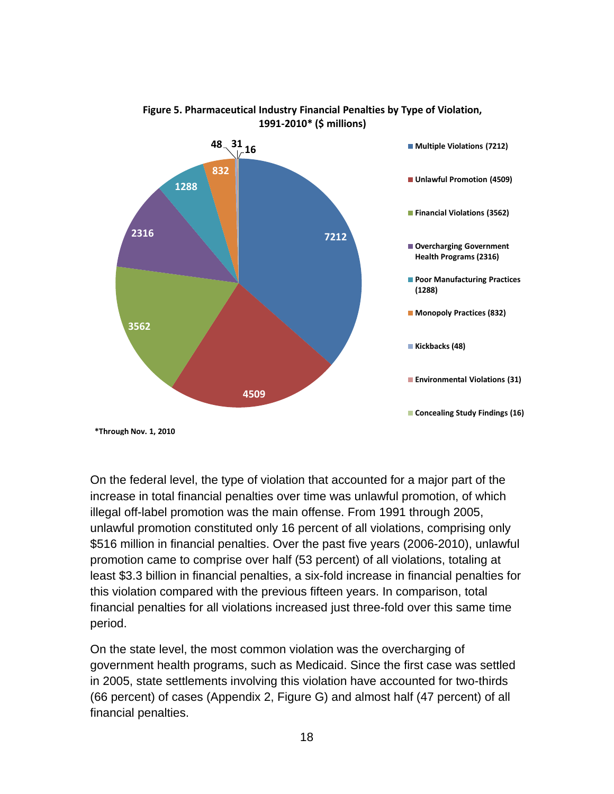

#### **Figure 5. Pharmaceutical Industry Financial Penalties by Type of Violation, 1991‐2010\* (\$ millions)**

On the federal level, the type of violation that accounted for a major part of the increase in total financial penalties over time was unlawful promotion, of which illegal off-label promotion was the main offense. From 1991 through 2005, unlawful promotion constituted only 16 percent of all violations, comprising only \$516 million in financial penalties. Over the past five years (2006-2010), unlawful promotion came to comprise over half (53 percent) of all violations, totaling at least \$3.3 billion in financial penalties, a six-fold increase in financial penalties for this violation compared with the previous fifteen years. In comparison, total financial penalties for all violations increased just three-fold over this same time period.

On the state level, the most common violation was the overcharging of government health programs, such as Medicaid. Since the first case was settled in 2005, state settlements involving this violation have accounted for two-thirds (66 percent) of cases (Appendix 2, Figure G) and almost half (47 percent) of all financial penalties.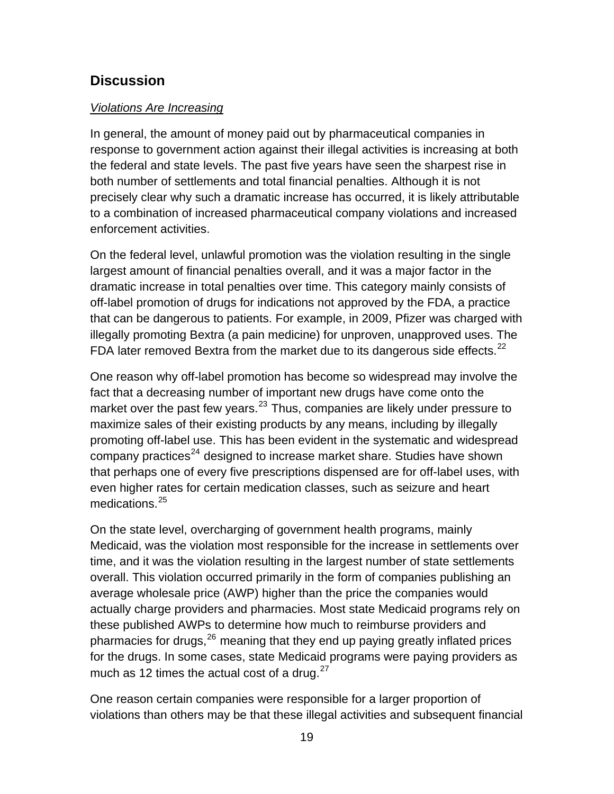## <span id="page-18-0"></span>**Discussion**

#### *Violations Are Increasing*

In general, the amount of money paid out by pharmaceutical companies in response to government action against their illegal activities is increasing at both the federal and state levels. The past five years have seen the sharpest rise in both number of settlements and total financial penalties. Although it is not precisely clear why such a dramatic increase has occurred, it is likely attributable to a combination of increased pharmaceutical company violations and increased enforcement activities.

On the federal level, unlawful promotion was the violation resulting in the single largest amount of financial penalties overall, and it was a major factor in the dramatic increase in total penalties over time. This category mainly consists of off-label promotion of drugs for indications not approved by the FDA, a practice that can be dangerous to patients. For example, in 2009, Pfizer was charged with illegally promoting Bextra (a pain medicine) for unproven, unapproved uses. The FDA later removed Bextra from the market due to its dangerous side effects.<sup>22</sup>

One reason why off-label promotion has become so widespread may involve the fact that a decreasing number of important new drugs have come onto the market over the past few years.<sup>23</sup> Thus, companies are likely under pressure to maximize sales of their existing products by any means, including by illegally promoting off-label use. This has been evident in the systematic and widespread that perhaps one of every five prescriptions dispensed are for off-label uses, with company practices<sup>24</sup> designed to increase market share. Studies have shown even higher rates for certain medication classes, such as seizure and heart medications.<sup>25</sup>

time, and it was the violation resulting in the largest number of state settlements average wholesale price (AWP) higher than the price the companies would actually charge providers and pharmacies. Most state Medicaid programs rely on these published AWPs to determine how much to reimburse providers and On the state level, overcharging of government health programs, mainly Medicaid, was the violation most responsible for the increase in settlements over overall. This violation occurred primarily in the form of companies publishing an pharmacies for drugs,  $26$  meaning that they end up paying greatly inflated prices for the drugs. In some cases, state Medicaid programs were paying providers as much as 12 times the actual cost of a drug. $27$ 

One reason certain companies were responsible for a larger proportion of violations than others may be that these illegal activities and subsequent financial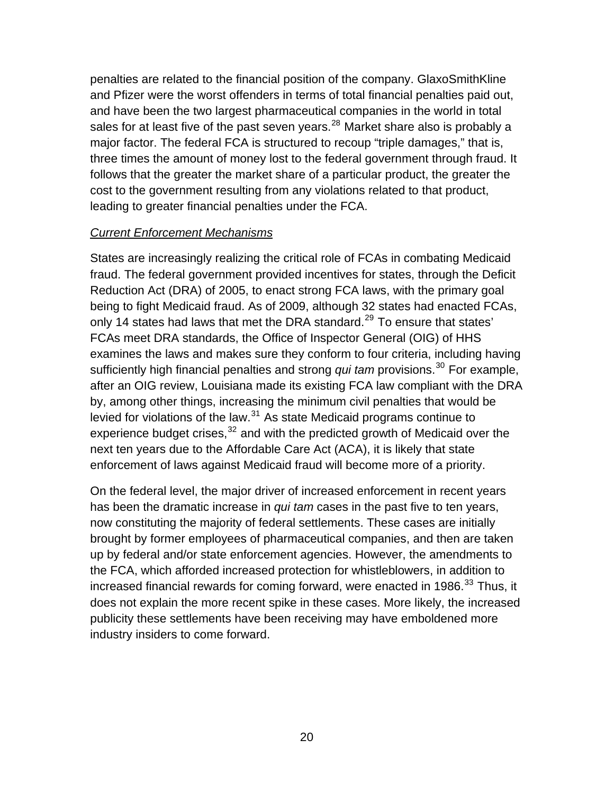penalties are related to the financial position of the company. GlaxoSmithKline and Pfizer were the worst offenders in terms of total financial penalties paid out, and have been the two largest pharmaceutical companies in the world in total sales for at least five of the past seven years.<sup>28</sup> Market share also is probably a major factor. The federal FCA is structured to recoup "triple damages," that is, three times the amount of money lost to the federal government through fraud. It follows that the greater the market share of a particular product, the greater the cost to the government resulting from any violations related to that product, leading to greater financial penalties under the FCA.

#### **Current Enforcement Mechanisms**

fraud. The federal government provided incentives for states, through the Deficit sufficiently high financial penalties and strong *qui tam* provisions.<sup>30</sup> For example, States are increasingly realizing the critical role of FCAs in combating Medicaid Reduction Act (DRA) of 2005, to enact strong FCA laws, with the primary goal being to fight Medicaid fraud. As of 2009, although 32 states had enacted FCAs, only 14 states had laws that met the DRA standard.<sup>[29](#page-33-0)</sup> To ensure that states' FCAs meet DRA standards, the Office of Inspector General (OIG) of HHS examines the laws and makes sure they conform to four criteria, including having after an OIG review, Louisiana made its existing FCA law compliant with the DRA by, among other things, increasing the minimum civil penalties that would be levied for violations of the law. $31$  As state Medicaid programs continue to experience budget crises, $32$  and with the predicted growth of Medicaid over the next ten years due to the Affordable Care Act (ACA), it is likely that state enforcement of laws against Medicaid fraud will become more of a priority.

On the federal level, the major driver of increased enforcement in recent years has been the dramatic increase in *qui tam* cases in the past five to ten years, now constituting the majority of federal settlements. These cases are initially increased financial rewards for coming forward, were enacted in 1986. $^{33}$  $^{33}$  $^{33}$  Thus, it brought by former employees of pharmaceutical companies, and then are taken up by federal and/or state enforcement agencies. However, the amendments to the FCA, which afforded increased protection for whistleblowers, in addition to does not explain the more recent spike in these cases. More likely, the increased publicity these settlements have been receiving may have emboldened more industry insiders to come forward.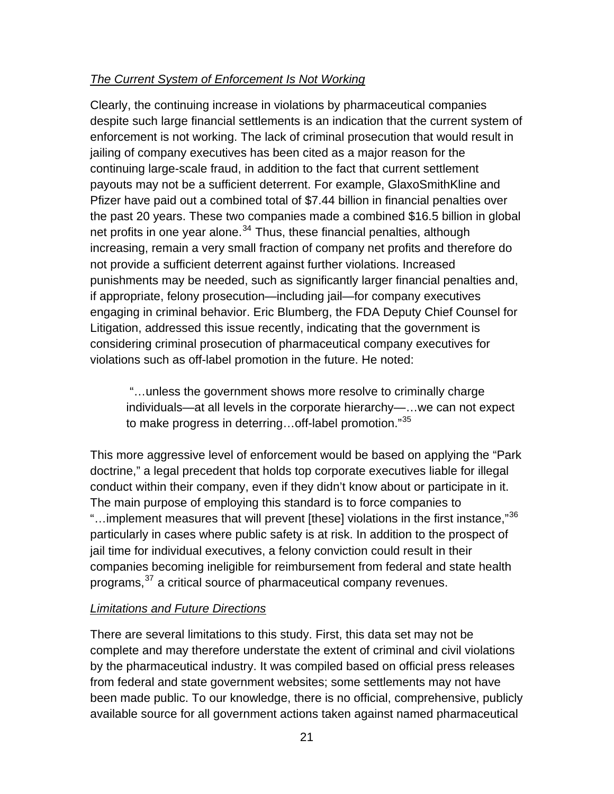## *The Current System of Enforcement Is Not Working*

Clearly, the continuing increase in violations by pharmaceutical companies despite such large financial settlements is an indication that the current system o f enforcement is not working. The lack of criminal prosecution that would result in jailing of company executives has been cited as a major reason for the continuing large-scale fraud, in addition to the fact that current settlement payouts may not be a sufficient deterrent. For example, GlaxoSmithKline and Pfizer have paid out a combined total of \$7.44 billion in financial penalties over the past 20 years. These two companies made a combined \$16.5 billion in global net profits in one year alone.<sup>34</sup> Thus, these financial penalties, although increasing, remain a very small fraction of company net profits and therefore do not provide a sufficient deterrent against further violations. Increased punishments may be needed, such as significantly larger financial penalties and, if appropriate, felony prosecution—including jail—for company executives engaging in criminal behavior. Eric Blumberg, the FDA Deputy Chief Counsel for Litigation, addressed this issue recently, indicating that the government is considering criminal prosecution of pharmaceutical company executives for violations such as off-label promotion in the future. He noted:

individuals—at all levels in the corporate hierarchy—...we can not expect "…unless the government shows more resolve to criminally charge to make progress in deterring...off-label promotion."[35](#page-33-0)

[This more aggressive level of enforcement would be based on applying the](#page-33-0) "Park [doctrine," a legal precedent that holds top corporate executives liable for ille](#page-33-0)gal "...implement measures that will prevent [these] violations in the first instance," $^{36}$ conduct within their company, even if they didn't know about or participate in it. The main purpose of employing this standard is to force companies to particularly in cases where public safety is at risk. In addition to the prospect of jail time for individual executives, a felony conviction could result in their companies becoming ineligible for reimbursement from federal and state health programs,<sup>[37](#page-34-0)</sup> a critical source of pharmaceutical company revenues.

## *Limitations and Future Directions*

There are several limitations to this study. First, this data set may not be complete and may therefore understate the extent of criminal and civil violations by the pharmaceutical industry. It was compiled based on official press releases from federal and state government websites; some settlements may not have been made public. To our knowledge, there is no official, comprehensive, publicly available source for all government actions taken against named pharmaceutical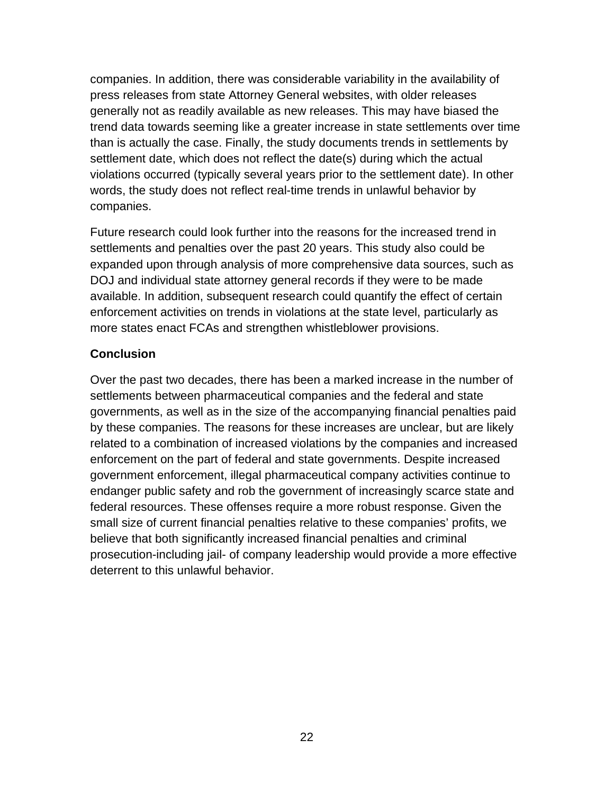companies. In addition, there was considerable variability in the availability of violations occurred (typically several years prior to the settlement date). In other press releases from state Attorney General websites, with older releases generally not as readily available as new releases. This may have biased the trend data towards seeming like a greater increase in state settlements over time than is actually the case. Finally, the study documents trends in settlements by settlement date, which does not reflect the date(s) during which the actual words, the study does not reflect real-time trends in unlawful behavior by companies.

Future research could look further into the reasons for the increased trend in expanded upon through analysis of more comprehensive data sources, such as available. In addition, subsequent research could quantify the effect of certain settlements and penalties over the past 20 years. This study also could be DOJ and individual state attorney general records if they were to be made enforcement activities on trends in violations at the state level, particularly as more states enact FCAs and strengthen whistleblower provisions.

#### **Conclusion**

Over the past two decades, there has been a marked increase in the number of settlem ents between pharmaceutical companies and the federal and state govern ments, as well as in the size of the accompanying financial penalties paid by these companies. The reasons for these increases are unclear, but are likely related to a combination of increased violations by the companies and increased federal resources. These offenses require a more robust response. Given the prosecution-including jail- of company leadership would provide a more effective enforcement on the part of federal and state governments. Despite increased government enforcement, illegal pharmaceutical company activities continue to endanger public safety and rob the government of increasingly scarce state and small size of current financial penalties relative to these companies' profits, we believe that both significantly increased financial penalties and criminal deterrent to this unlawful behavior.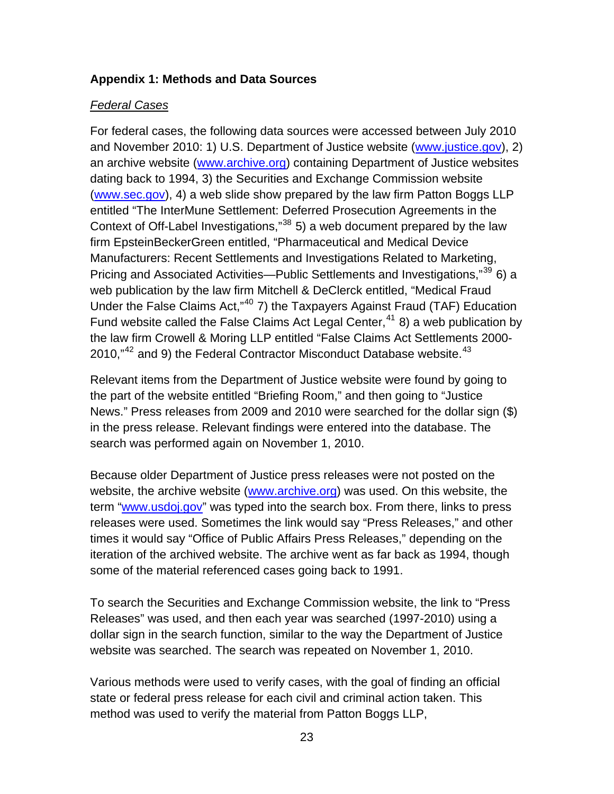#### <span id="page-22-0"></span>**Appendix 1: Methods and Data Sources**

#### *Federal Cases*

For federal cases, the following data sources were accessed between July 2010 and November 2010: 1) U.S. Department of Justice website (www.justice.gov), 2) an archive website (www.archive.org) containing Department of Justice websites dating back to 1994, 3) the Securities and Exchange Commission website (www.sec.gov), 4) a web slide show prepared by the law firm Patton Boggs LLP entitled "The InterMune Settlement: Deferred Prosecution Agreements in the Under the False Claims Act,"<sup>40</sup> 7) the Taxpayers Against Fraud (TAF) Education 2010," $^{42}$  and 9) the Federal Contractor Misconduct Database website. $^{43}$ Context of Off-Label Investigations,"38 5) a web document prepared by the law firm EpsteinBeckerGreen entitled, "Pharmaceutical and Medical Device Manufacturers: Recent Settlements and Investigations Related to Marketing, Pricing and Associated Activities—Public Settlements and Investigations,"<sup>39</sup> 6) a web publication by the law firm Mitchell & DeClerck entitled, "Medical Fraud Fund website called the False Claims Act Legal Center,  $41$  8) a web publication by the law firm Crowell & Moring LLP entitled "False Claims Act Settlements 2000-

Relevant items from the Department of Justice website were found by going to the part of the website entitled "Briefing Room," and then going to "Justice News." Press releases from 2009 and 2010 were searched for the dollar sign (\$) in the press release. Relevant findings were entered into the database. The search was performed again on November 1, 2010.

Because older Department of Justice press releases were not posted on the website, the archive website (www.archive.org) was used. On this website, the term "www.usdoj.gov" was typed into the search box. From there, links to press releases were used. Sometimes the link would say "Press Releases," and other times it would say "Office of Public Affairs Press Releases," depending o n the iteration of the archived website. The archive went as far back as 1994, though some of the material referenced case s going back to 1991.

To search the Securities and Exchange Commission website, the link to "Press Releases" was used, and then each year was searched (1997-2010) using a dollar sign in the search function, similar to the way the Department of Justice website was searched. The search was repeated on November 1, 2010.

Various methods were used to verify cases, with the goal of finding an official state or federal press release for each civil and criminal action taken. This method was used to verify the material from Patton Boggs LLP,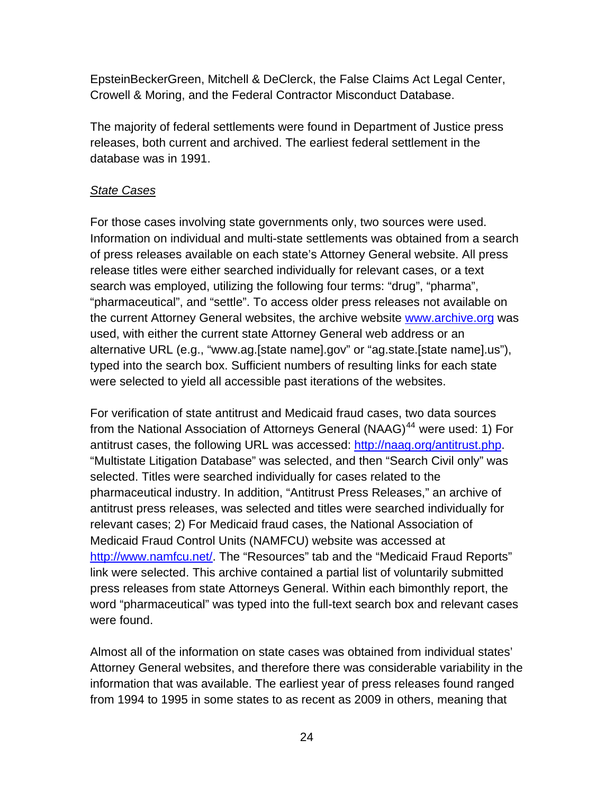EpsteinBeckerGreen, Mitchell & DeClerck, the False Claims Act Legal Center, Crowell & Moring, and the Federal Contractor Misconduct Database.

The majority of federal settlements were found in Department of Justice press releases, both current and archived. The earliest federal settlement in the database was in 1991.

## *State Cases*

For those cases involving state governments only, two sources were used. Information on individual and multi-state settlements was obtained from a search of press releases available on each state's Attorney General website. All pres s release titles were either searched individually for relevant cases, or a text search was employed, utilizing the following four terms: "drug", "pharma", "pharmaceutical", and "settle". To access older press releases not available on the current Attorney General websites, the archive website **www.archive.org** was used, with either the current state Attorney General web address or an alternative URL (e.g., "[www.ag.\[state name\].gov](http://www.archive.org/)" or "ag.state.[state name].us"), typed into the search box. Sufficient numbers of resulting links for each state were selected to yield all accessible past iterations of the websites.

from the National Association of Attorneys General (NAAG)<sup>44</sup> were used: 1) For antitrust cases, the following URL was accessed: http://naag.org/antitrust.php. For verification of state antitrust and Medicaid fraud cases, two data sources "Multistate Litigation Database" was selected, and then "Search Civil only" was selected. Titles were searched individually for cases related to the pharmaceutical industry. In addition, "Antitrust Press Releases," an archive of antitrust press releases, was selected and titles were searched individually for relevant cases; 2) For Medicaid fraud cases, the National Association of Medicaid Fraud Control Units (NAMFCU) website was accessed at [http://www.namfcu.net/](http://www.archive.org/). The "Resources" tab and the "Medicaid Fraud Reports" link were selected. This archive contained a partial list of voluntarily submitted press releases from state Attorneys General. Within each bimonthly report, the word "pharmaceutical" was typed into the full-text search box and relevant cases were found.

Almost all of the information on state cases was obtained from individual states' Attorney General websites, and therefore there was considerable variability in the information that was available. The earliest year of press releases found ranged from 1994 to 1995 in some states to as recent as 2009 in others, meaning that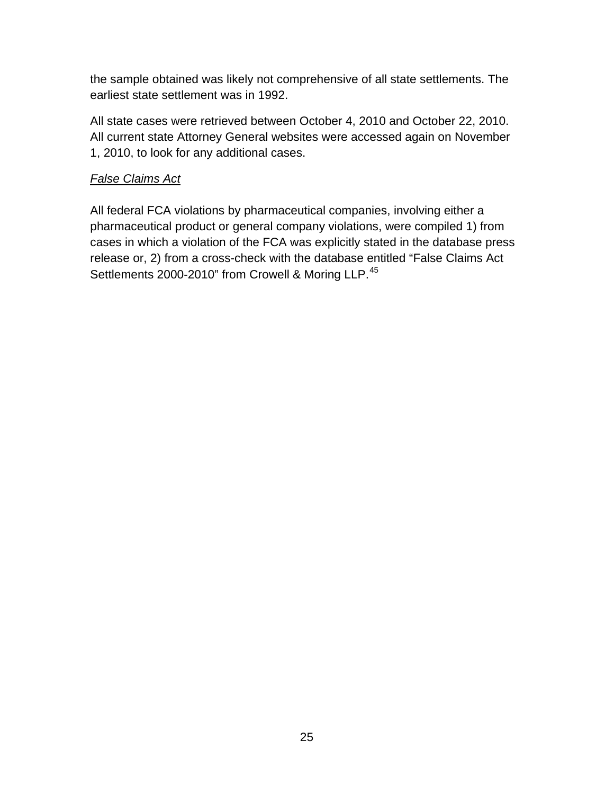the sample obtained was likely not comprehensive of all state settlements. The earliest state settlement was in 1992.

All state cases were retrieved between October 4, 2010 and October 22, 2010. All current state Attorney General websites were accessed again on November 1, 2010, to look for any additional cases.

## *False Claims Act*

All federal FCA violations by pharmaceutical companies, involving either a pharmaceutical product or general company violations, were compiled 1) from cases in which a violation of the FCA was explicitly stated in the database press release or, 2) from a cross-check with the database entitled "False Claims Act Settlements 2000-2010" from Crowell & Moring LLP.<sup>[45](http://www.archive.org/)</sup>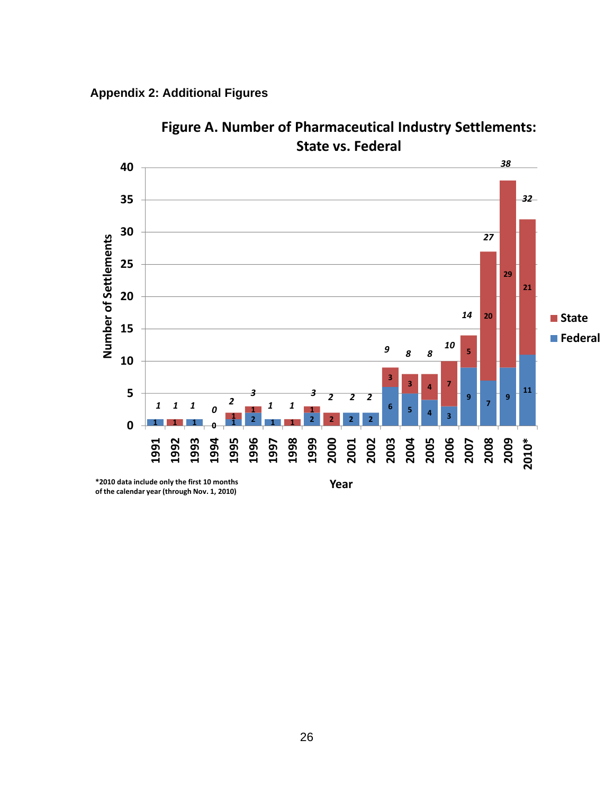<span id="page-25-0"></span>



**Year**

**Figure A. Number of Pharmaceutical Industry Settlements: State vs. Federal**

**\*2010 data include only the first 10 months of the calendar year (through Nov. 1, 2010)**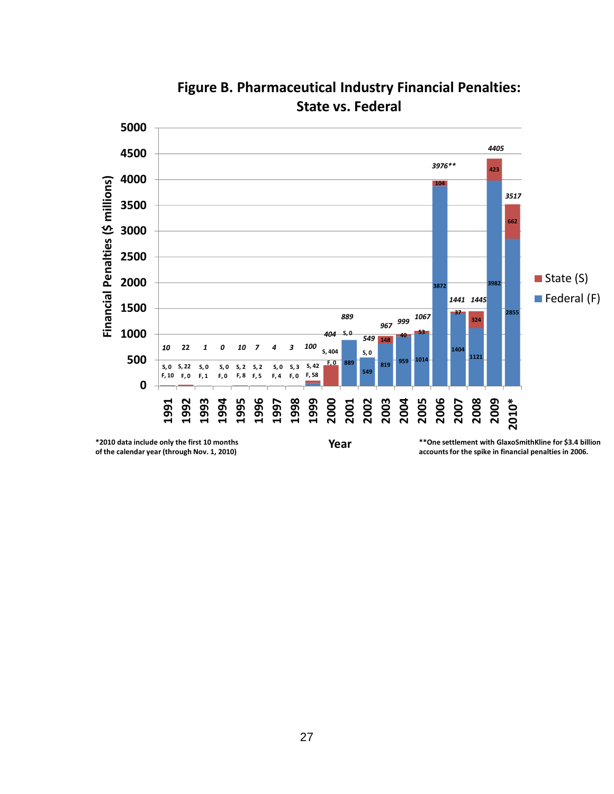![](_page_26_Figure_0.jpeg)

**Figure B. Pharmaceutical Industry Financial Penalties: State vs. Federal**

**of the calendar year (through Nov. 1, 2010)**

**Year**

**accountsfor the spike in financial penalties in 2006.**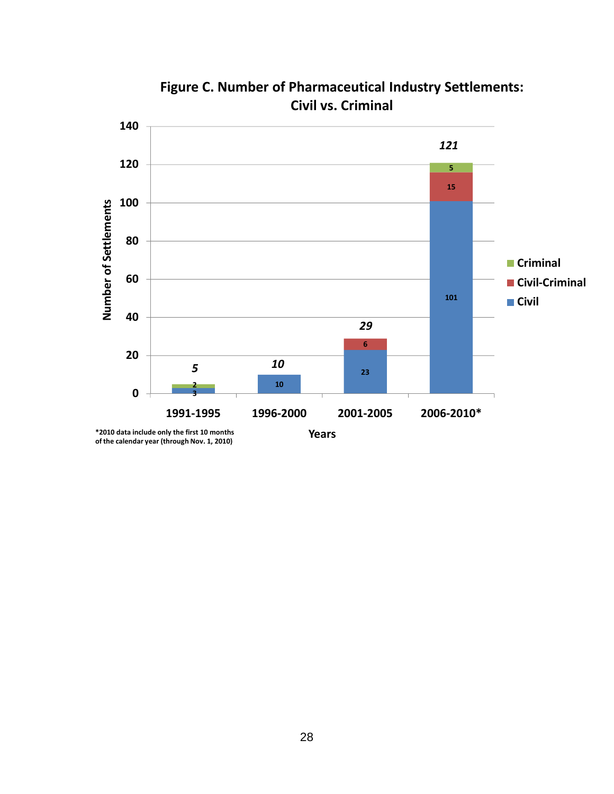![](_page_27_Figure_0.jpeg)

**Figure C. Number of Pharmaceutical Industry Settlements: Civil vs. Criminal**

**of the calendar year (through Nov. 1, 2010)**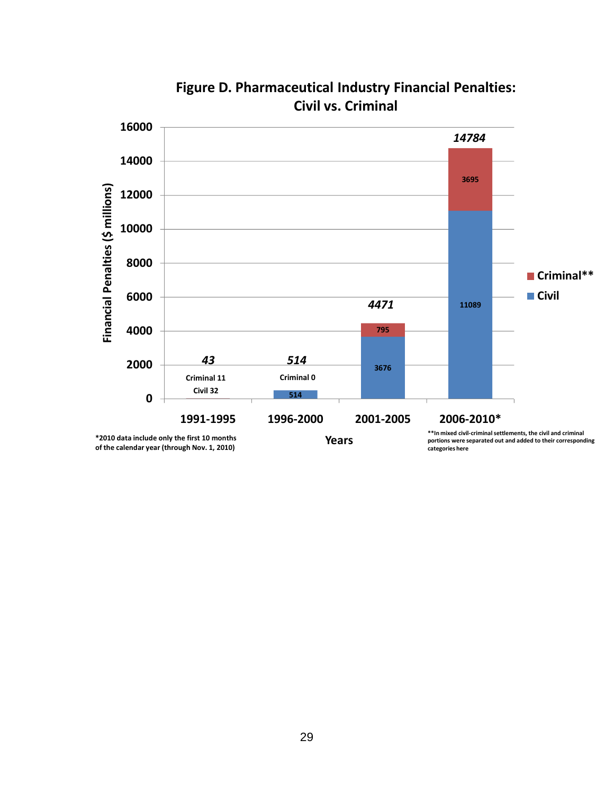![](_page_28_Figure_0.jpeg)

**Figure D. Pharmaceutical Industry Financial Penalties: Civil vs. Criminal**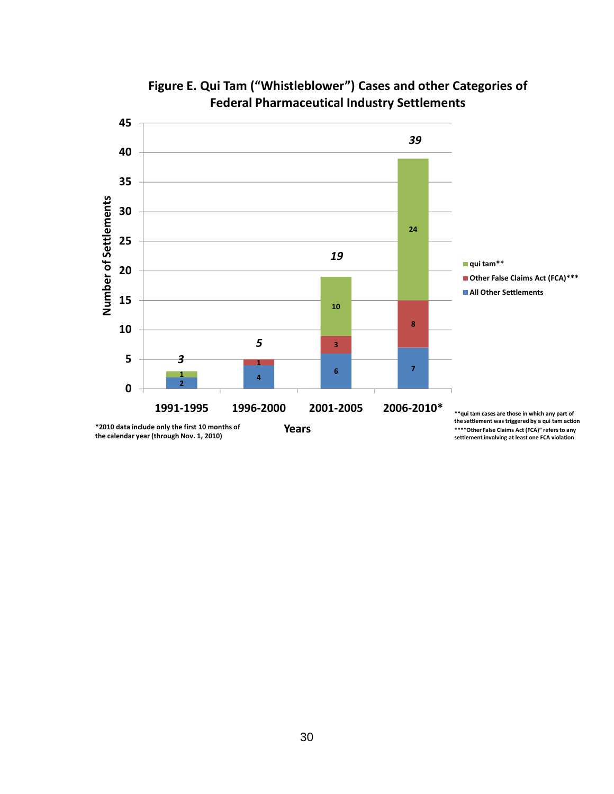![](_page_29_Figure_0.jpeg)

# **Figure E. Qui Tam ("Whistleblower") Cases and other Categories of Federal Pharmaceutical Industry Settlements**

**the calendar year (through Nov. 1, 2010)**

**\*\*\*"Other False Claims Act (FCA)" refersto any settlement involving at least one FCA violation**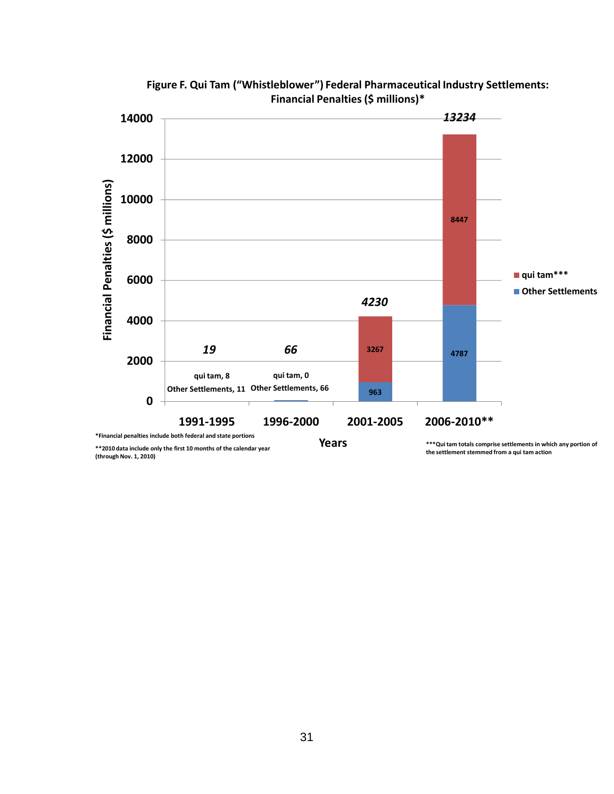![](_page_30_Figure_0.jpeg)

**Figure F. Qui Tam ("Whistleblower") Federal Pharmaceutical Industry Settlements: Financial Penalties(\$ millions)\***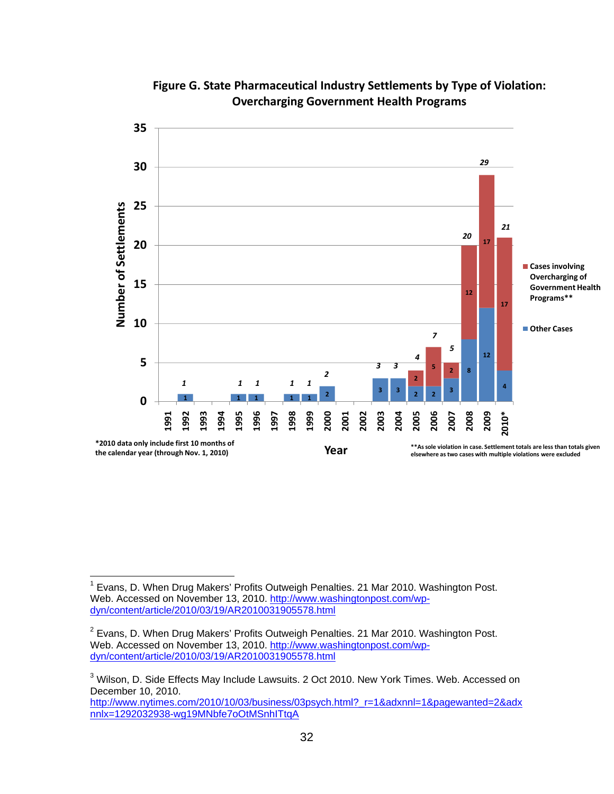<span id="page-31-2"></span><span id="page-31-0"></span>![](_page_31_Figure_0.jpeg)

### **Figure G. State Pharmaceutical Industry Settlements by Type of Violation: Overcharging Government Health Programs**

<span id="page-31-1"></span><sup>————————————————————&</sup>lt;br><sup>1</sup> Evans, D. When Drug Makers' Profits Outweigh Penalties. 21 Mar 2010. Washington Post. Web. Accessed on November 13, 2010. http://www.washingtonpost.com/wpdyn/content/article/2010/03/19/AR2010031905578.html

 Evans, D. When Drug Makers' Profits Outweigh Penalties. 21 Mar 2010. Washington Post. Web. Accessed on November 13, 2010. http://www.washingtonpost.com/wpdyn/content/article/2010/03/19/AR2010031905578.html

 Wilson, D. Side Effects May Include Lawsuits. 2 Oct 2010. New York Times. Web. Accessed on December 10, 2010.

http://www.nytimes.com/2010/10/03/business/03psych.html?\_r=1&adxnnl=1&pagewanted=2&adx nnlx=1292032938-wg19MNbfe7oOtMSnhITtqA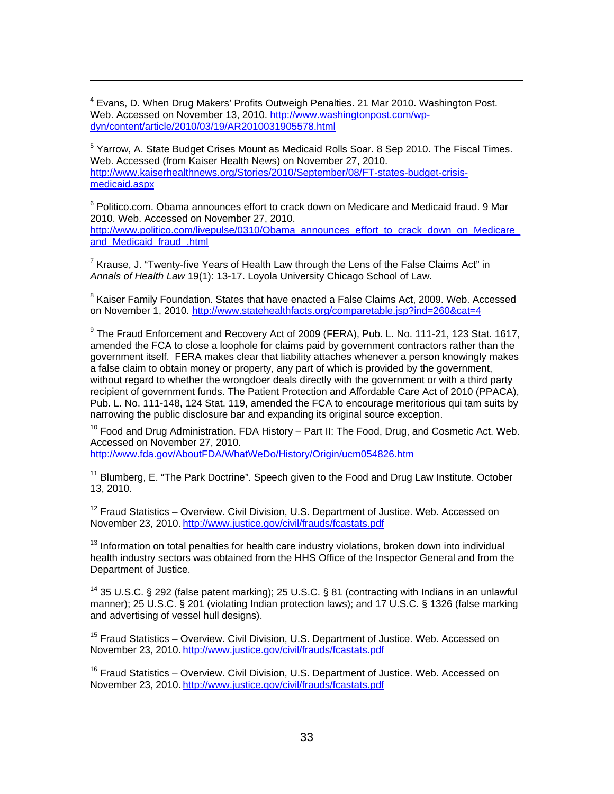<sup>4</sup> Evans, D. When Drug Makers' Profits Outweigh Penalties. 21 Mar 2010. Washington Post. Web. Accessed on November 13, 2010. http://www.washingtonpost.com/wpdyn/content/article/2010/03/19/AR2010031905578.html

<span id="page-32-0"></span> $\overline{a}$ 

 $<sup>5</sup>$  Yarrow, A. State Budget Crises Mount as Medicaid Rolls Soar. 8 Sep 2010. The Fiscal Times.</sup> Web. Accessed (from Kaiser Health News) on November 27, 2010. http://www.kaiserhealthnews.org/Stories/2010/September/08/FT-states-budget-crisismedicaid.aspx

<sup>6</sup> Politico.com. Obama announces effort to crack down on Medicare and Medicaid fraud. 9 Mar 2010. Web. Accessed on November 27, 2010. http://www.politico.com/livepulse/0310/Obama\_announces\_effort\_to\_crack\_down\_on\_Medicare\_ and\_Medicaid\_fraud\_.html

<sup>7</sup> Krause, J. "Twenty-five Years of Health Law through the Lens of the False Claims Act" in *Annals of Health Law* 19(1): 13-17. Loyola University Chicago School of Law.

<sup>8</sup> Kaiser Family Foundation. States that have enacted a False Claims Act, 2009. Web. Accessed on November 1, 2010. http://www.statehealthfacts.org/comparetable.jsp?ind=260&cat=4

<sup>9</sup> The Fraud Enforcement and Recovery Act of 2009 (FERA), Pub. L. No. 111-21, 123 Stat. 1617, amended the FCA to close a loophole for claims paid by government contractors rather than the government itself. FERA makes clear that liability attaches whenever a person knowingly makes a false claim to obtain money or property, any part of which is provided by the government, without regard to whether the wrongdoer deals directly with the government or with a third party recipient of government funds. The Patient Protection and Affordable Care Act of 2010 (PPACA), Pub. L. No. 111-148, 124 Stat. 119, amended the FCA to encourage meritorious qui tam suits by narrowing the public disclosure bar and expanding its original source exception.

 $10$  Food and Drug Administration. FDA History – Part II: The Food, Drug, and Cosmetic Act. Web. Accessed on November 27, 2010.

http://www.fda.gov/AboutFDA/WhatWeDo/History/Origin/ucm054826.htm

 $11$  Blumberg, E. "The Park Doctrine". Speech given to the Food and Drug Law Institute. October 3, 2010. 1

 $12$  Fraud Statistics – Overview. Civil Division, U.S. Department of Justice. Web. Accessed on November 23, 2010. http://www.justice.gov/civil/frauds/fcastats.pdf

 $13$  Information on total penalties for health care industry violations, broken down into individual health industry sectors was obtained from the HHS Office of the Inspector General and from the Department of Justice.

<sup>14</sup> 35 U.S.C. § 292 (false patent marking); 25 U.S.C. § 81 (contracting with Indians in an unlawful manner); 25 U.S.C. § 201 (violating Indian protection laws); and 17 U.S.C. § 1326 (false marking and advertising of vessel hull designs).

<sup>15</sup> Fraud Statistics – Overview. Civil Division, U.S. Department of Justice. Web. Accessed on November 23, 2010. [http://www.justice.gov/civil/frauds/fcastats.pdf](http://www.washingtonpost.com/wp-dyn/content/article/2010/03/19/AR2010031905578.html)

 $16$  Fraud Statistics – Overview. Civil Division, U.S. Department of Justice. Web. Accessed on [N](http://www.nytimes.com/2010/10/03/business/03psych.html?_r=1&adxnnl=1&pagewanted=2&adxnnlx=1292032938-wg19MNbfe7oOtMSnhITtqA)ovember 23, 2010. [http://www.justice.gov/civil/frauds/fcastats.pdf](http://www.nytimes.com/2010/10/03/business/03psych.html?_r=1&adxnnl=1&pagewanted=2&adxnnlx=1292032938-wg19MNbfe7oOtMSnhITtqA)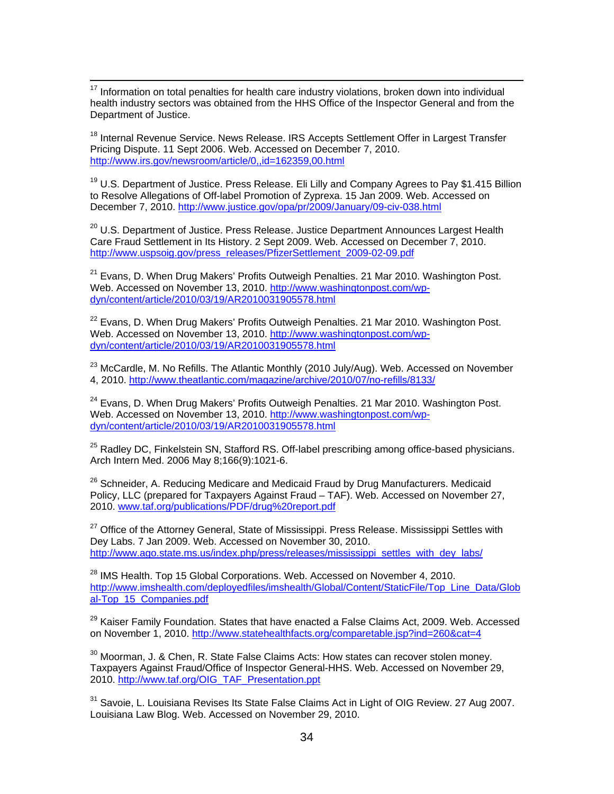<span id="page-33-0"></span> $\overline{a}$  $17$  Information on total penalties for health care industry violations, broken down into individual health industry sectors was obtained from the HHS Office of the Inspector General and from the Department of Justice.

<sup>18</sup> Internal Revenue Service. News Release. IRS Accepts Settlement Offer in Largest Transfer Pricing Dispute. 11 Sept 2006. Web. Accessed on December 7, 2010. [http://www.irs.gov/newsroom/article/0,,id=162359,00.html](http://www.kaiserhealthnews.org/Stories/2010/September/08/FT-states-budget-crisis-medicaid.aspx)

 $19$  U.S. Department of Justice. Press Release. Eli Lilly and Company Agrees to Pay \$1.415 Billion to Resolve Allegations of Off-label Promotion of Zyprexa. 15 Jan 2009. Web. Accessed on December 7, 2010. [http://www.justice.gov/opa/pr/2009/January/09-civ-038.html](http://www.politico.com/livepulse/0310/Obama_announces_effort_to_crack_down_on_Medicare_and_Medicaid_fraud_.html)

<sup>20</sup> U.S. Department of Justice. Press Release. Justice Department Announces Largest Health [Care Fraud Settlement in Its](http://www.politico.com/livepulse/0310/Obama_announces_effort_to_crack_down_on_Medicare_and_Medicaid_fraud_.html) History. 2 Sept 2009. Web. Accessed on December 7, 2010. http://www.uspsoig.gov/press\_releases/PfizerSettlement\_2009-02-09.pdf

<sup>21</sup> Evans, D. When Drug Makers' Profits Outweigh Penalties. 21 Mar 2010. Washington Post. Web. Accessed on November 13, 2010. http://www.washingtonpost.com/wpdyn/content/article/2010/03/19/AR2010031905578.html

 $^{22}$  Evans, D. When Drug Makers' Profits Outweigh Penalties. 21 Mar 2010. Washington Post. Web. Accessed on November 13, 2010. http://www.washingtonpost.com/wpdyn/content/article/2010/03/19/AR2010031905578.html

 $^{23}$  McCardle, M. No Refills. The Atlantic Monthly (2010 July/Aug). Web. Accessed on November 4, 2010. http://www.theatlantic.com/magazine/archive/2010/07/no-refills/8133/

 $24$  Evans, D. When Drug Makers' Profits Outweigh Penalties. 21 Mar 2010. Washington Post. Web. Accessed on November 13, 2010. http://www.washingtonpost.com/wpdyn/content/article/2010/03/19/AR2010031905578.html

<sup>25</sup> Radley DC, Finkelstein SN, Stafford RS. Off-label prescribing among office-based physicians. Arch Intern Med. 2006 May 8;166(9):1021-6.

Policy, LLC (prepared for Taxpayers Against Fraud – TAF). Web. Accessed on November 27,  $26$  Schneider, A. Reducing Medicare and Medicaid Fraud by Drug Manufacturers. Medicaid 2010. [www.taf.org/publications/PDF/drug%20report.pdf](http://www.justice.gov/civil/frauds/fcastats.pdf)

<sup>27</sup> Office of the Attorney General, State of Mississippi. Press Release. Mississippi Settles with Dey Labs. 7 Jan 2009. Web. Accessed on November 30, 2010. http://www.ago.state.ms.us/index.php/press/releases/mississippi\_settles\_with\_dey\_labs/

 $^{28}$  IMS Health. Top 15 Global Corporations. Web. Accessed on November 4, 2010. http://www.imshealth.com/deployedfiles/imshealth/Global/Content/StaticFile/Top\_Line\_Data/Glob al-Top\_15\_Companies.pdf

 $29$  Kaiser Family Foundation. States that have enacted a False Claims Act, 2009. Web. Accessed on November 1, 2010. [http://www.statehealthfacts.org/comparetable.jsp?ind=260&cat=4](http://www.justice.gov/civil/frauds/fcastats.pdf)

<sup>30</sup> Moorman, J. & Chen, R. State False Claims Acts: How states can recover stolen money. Taxpayers Against Fraud/Office of Inspector General-HHS. Web. Accessed on November 29, 2010. [http://www.taf.org/OIG\\_TAF\\_Presentation.ppt](http://www.justice.gov/civil/frauds/fcastats.pdf)

<sup>31</sup> Savoie, L. Louisiana Revises Its State False Claims Act in Light of OIG Review. 27 Aug 2007. Louisiana Law Blog. Web. Accessed on November 29, 2010.